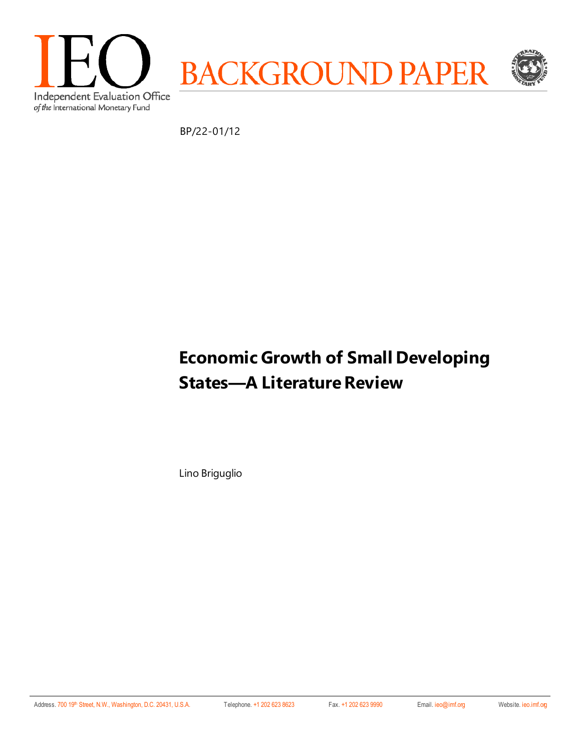

BP/22-01/12

# **Economic Growth of Small Developing States—A Literature Review**

Lino Briguglio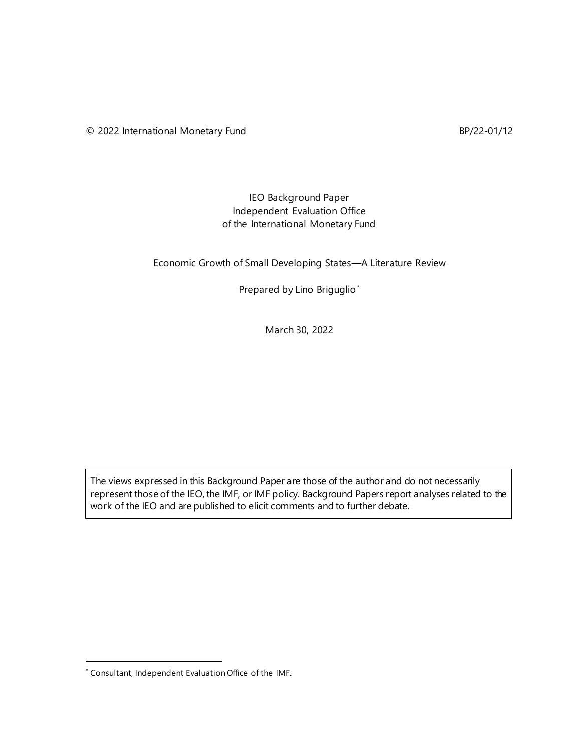### IEO Background Paper Independent Evaluation Office of the International Monetary Fund

Economic Growth of Small Developing States—A Literature Review

Prepared by Lino Briguglio[\\*](#page-1-0)

March 30, 2022

The views expressed in this Background Paper are those of the author and do not necessarily represent those of the IEO, the IMF, or IMF policy. Background Papers report analyses related to the work of the IEO and are published to elicit comments and to further debate.

<span id="page-1-0"></span><sup>\*</sup> Consultant, Independent Evaluation Office of the IMF.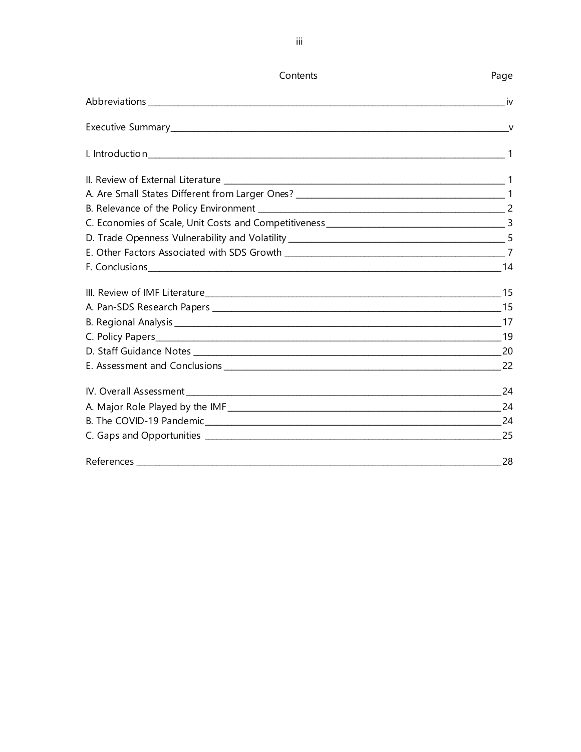| Contents | Page |
|----------|------|
|          | - iv |
|          |      |
|          |      |
|          |      |
|          |      |
|          |      |
|          |      |
|          |      |
|          |      |
|          |      |
|          |      |
|          |      |
|          |      |
|          |      |
|          |      |
|          |      |
|          | 24   |
|          |      |
|          |      |
|          |      |
|          | 28   |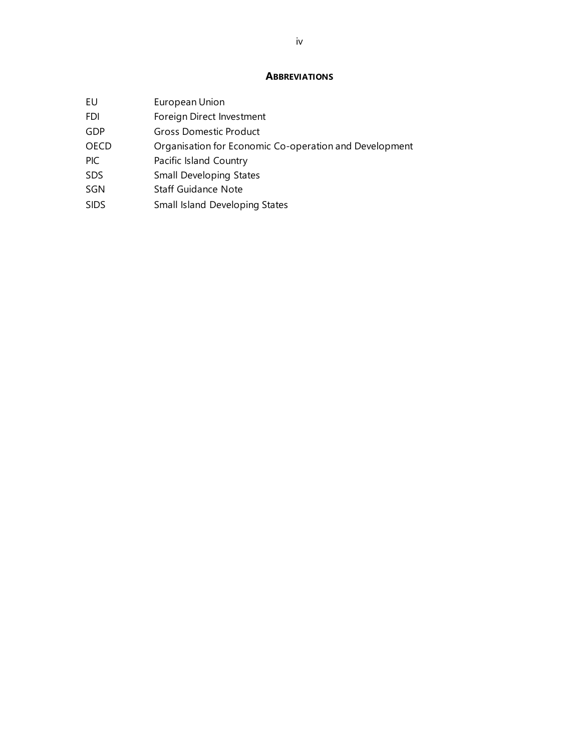### **ABBREVIATIONS**

<span id="page-3-0"></span>

| EU          | European Union                                         |
|-------------|--------------------------------------------------------|
| FDI         | Foreign Direct Investment                              |
| <b>GDP</b>  | <b>Gross Domestic Product</b>                          |
| <b>OECD</b> | Organisation for Economic Co-operation and Development |
| PIC         | Pacific Island Country                                 |
| <b>SDS</b>  | <b>Small Developing States</b>                         |
| SGN         | <b>Staff Guidance Note</b>                             |
| <b>SIDS</b> | Small Island Developing States                         |
|             |                                                        |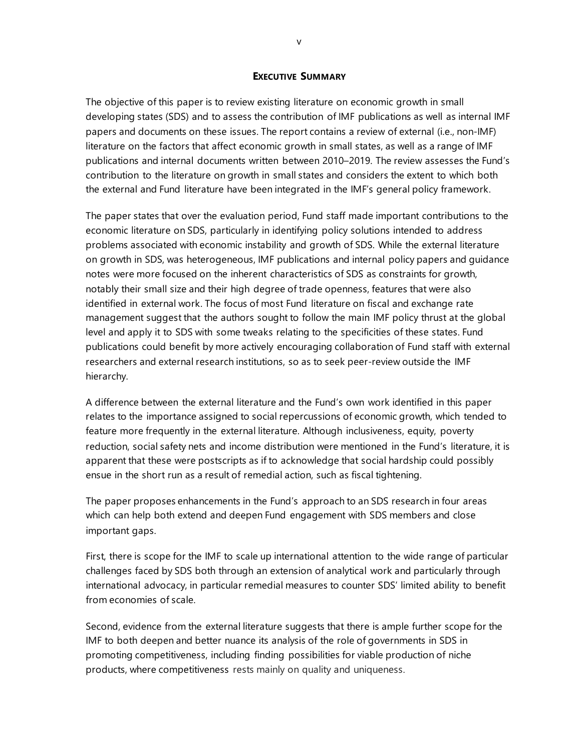#### **EXECUTIVE SUMMARY**

The objective of this paper is to review existing literature on economic growth in small developing states (SDS) and to assess the contribution of IMF publications as well as internal IMF papers and documents on these issues. The report contains a review of external (i.e., non-IMF) literature on the factors that affect economic growth in small states, as well as a range of IMF publications and internal documents written between 2010–2019. The review assesses the Fund's contribution to the literature on growth in small states and considers the extent to which both the external and Fund literature have been integrated in the IMF's general policy framework.

The paper states that over the evaluation period, Fund staff made important contributions to the economic literature on SDS, particularly in identifying policy solutions intended to address problems associated with economic instability and growth of SDS. While the external literature on growth in SDS, was heterogeneous, IMF publications and internal policy papers and guidance notes were more focused on the inherent characteristics of SDS as constraints for growth, notably their small size and their high degree of trade openness, features that were also identified in external work. The focus of most Fund literature on fiscal and exchange rate management suggest that the authors sought to follow the main IMF policy thrust at the global level and apply it to SDS with some tweaks relating to the specificities of these states. Fund publications could benefit by more actively encouraging collaboration of Fund staff with external researchers and external research institutions, so as to seek peer-review outside the IMF hierarchy.

A difference between the external literature and the Fund's own work identified in this paper relates to the importance assigned to social repercussions of economic growth, which tended to feature more frequently in the external literature. Although inclusiveness, equity, poverty reduction, social safety nets and income distribution were mentioned in the Fund's literature, it is apparent that these were postscripts as if to acknowledge that social hardship could possibly ensue in the short run as a result of remedial action, such as fiscal tightening.

The paper proposes enhancements in the Fund's approach to an SDS research in four areas which can help both extend and deepen Fund engagement with SDS members and close important gaps.

First, there is scope for the IMF to scale up international attention to the wide range of particular challenges faced by SDS both through an extension of analytical work and particularly through international advocacy, in particular remedial measures to counter SDS' limited ability to benefit from economies of scale.

Second, evidence from the external literature suggests that there is ample further scope for the IMF to both deepen and better nuance its analysis of the role of governments in SDS in promoting competitiveness, including finding possibilities for viable production of niche products, where competitiveness rests mainly on quality and uniqueness.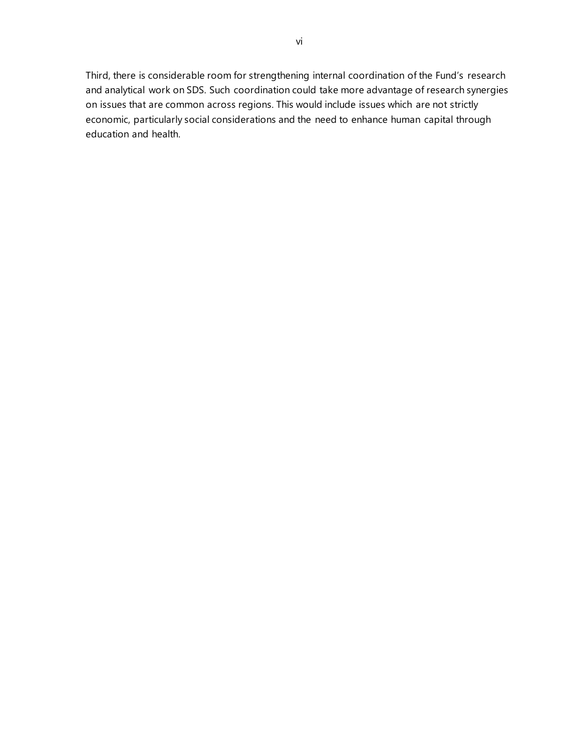Third, there is considerable room for strengthening internal coordination of the Fund's research and analytical work on SDS. Such coordination could take more advantage of research synergies on issues that are common across regions. This would include issues which are not strictly economic, particularly social considerations and the need to enhance human capital through education and health.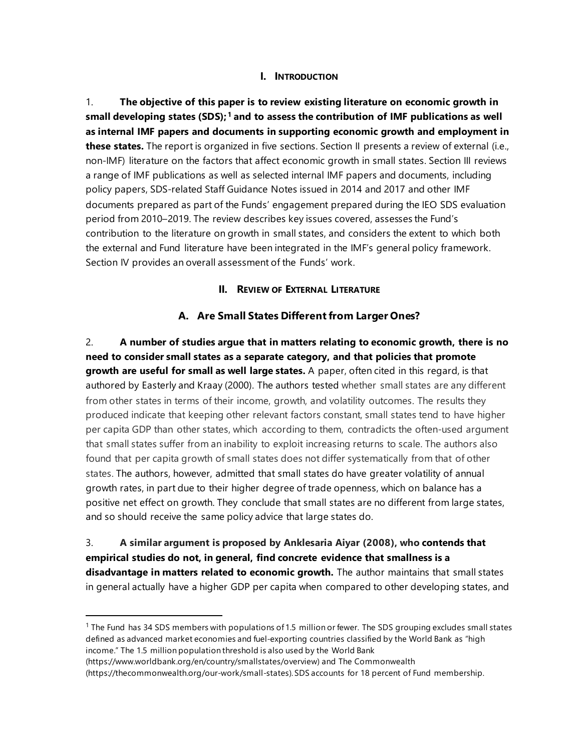### **I. INTRODUCTION**

1. **The objective of this paper is to review existing literature on economic growth in small developing states (SDS); [1](#page-6-0) and to assess the contribution of IMF publications as well as internal IMF papers and documents in supporting economic growth and employment in these states.** The report is organized in five sections. Section II presents a review of external (i.e., non-IMF) literature on the factors that affect economic growth in small states. Section III reviews a range of IMF publications as well as selected internal IMF papers and documents, including policy papers, SDS-related Staff Guidance Notes issued in 2014 and 2017 and other IMF documents prepared as part of the Funds' engagement prepared during the IEO SDS evaluation period from 2010–2019. The review describes key issues covered, assesses the Fund's contribution to the literature on growth in small states, and considers the extent to which both the external and Fund literature have been integrated in the IMF's general policy framework. Section IV provides an overall assessment of the Funds' work.

### **II. REVIEW OF EXTERNAL LITERATURE**

### **A. Are Small States Different from Larger Ones?**

2. **A number of studies argue that in matters relating to economic growth, there is no need to consider small states as a separate category, and that policies that promote growth are useful for small as well large states.** A paper, often cited in this regard, is that authored by Easterly and Kraay (2000). The authors tested whether small states are any different from other states in terms of their income, growth, and volatility outcomes. The results they produced indicate that keeping other relevant factors constant, small states tend to have higher per capita GDP than other states, which according to them, contradicts the often-used argument that small states suffer from an inability to exploit increasing returns to scale. The authors also found that per capita growth of small states does not differ systematically from that of other states. The authors, however, admitted that small states do have greater volatility of annual growth rates, in part due to their higher degree of trade openness, which on balance has a positive net effect on growth. They conclude that small states are no different from large states, and so should receive the same policy advice that large states do.

3. **A similar argument is proposed by Anklesaria Aiyar (2008), who contends that empirical studies do not, in general, find concrete evidence that smallness is a disadvantage in matters related to economic growth.** The author maintains that small states in general actually have a higher GDP per capita when compared to other developing states, and

<span id="page-6-0"></span> $1$  The Fund has 34 SDS members with populations of 1.5 million or fewer. The SDS grouping excludes small states defined as advanced market economies and fuel-exporting countries classified by the World Bank as "high income." The 1.5 million population threshold is also used by the World Bank

[<sup>\(</sup>https://www.worldbank.org/en/country/smallstates/overview\)](https://www.worldbank.org/en/country/smallstates/overview) and The Commonwealth

[<sup>\(</sup>https://thecommonwealth.org/our-work/small-states\)](https://thecommonwealth.org/our-work/small-states). SDS accounts for 18 percent of Fund membership.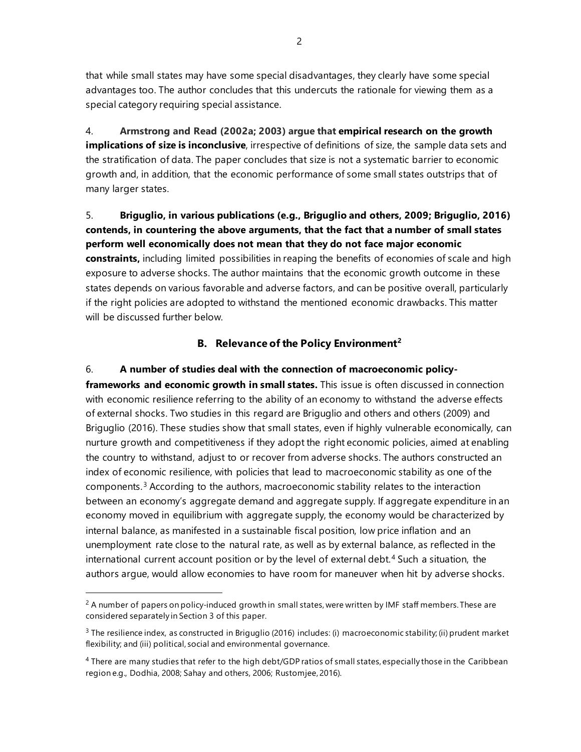that while small states may have some special disadvantages, they clearly have some special advantages too. The author concludes that this undercuts the rationale for viewing them as a special category requiring special assistance.

4. **Armstrong and Read (2002a; 2003) argue that empirical research on the growth implications of size is inconclusive**, irrespective of definitions of size, the sample data sets and the stratification of data. The paper concludes that size is not a systematic barrier to economic growth and, in addition, that the economic performance of some small states outstrips that of many larger states.

5. **Briguglio, in various publications (e.g., Briguglio and others, 2009; Briguglio, 2016) contends, in countering the above arguments, that the fact that a number of small states perform well economically does not mean that they do not face major economic constraints,** including limited possibilities in reaping the benefits of economies of scale and high exposure to adverse shocks. The author maintains that the economic growth outcome in these states depends on various favorable and adverse factors, and can be positive overall, particularly if the right policies are adopted to withstand the mentioned economic drawbacks. This matter will be discussed further below.

### **B. Relevance of the Policy Environment[2](#page-7-0)**

6. **A number of studies deal with the connection of macroeconomic policyframeworks and economic growth in small states.** This issue is often discussed in connection with economic resilience referring to the ability of an economy to withstand the adverse effects of external shocks. Two studies in this regard are Briguglio and others and others (2009) and Briguglio (2016). These studies show that small states, even if highly vulnerable economically, can nurture growth and competitiveness if they adopt the right economic policies, aimed at enabling the country to withstand, adjust to or recover from adverse shocks. The authors constructed an index of economic resilience, with policies that lead to macroeconomic stability as one of the components.[3](#page-7-1) According to the authors, macroeconomic stability relates to the interaction between an economy's aggregate demand and aggregate supply. If aggregate expenditure in an economy moved in equilibrium with aggregate supply, the economy would be characterized by internal balance, as manifested in a sustainable fiscal position, low price inflation and an unemployment rate close to the natural rate, as well as by external balance, as reflected in the international current account position or by the level of external debt.<sup>[4](#page-7-2)</sup> Such a situation, the authors argue, would allow economies to have room for maneuver when hit by adverse shocks.

2

<span id="page-7-0"></span> $2$  A number of papers on policy-induced growth in small states, were written by IMF staff members. These are considered separately in Section 3 of this paper.

<span id="page-7-1"></span> $3$  The resilience index, as constructed in Briguglio (2016) includes: (i) macroeconomic stability; (ii) prudent market flexibility; and (iii) political, social and environmental governance.

<span id="page-7-2"></span><sup>4</sup> There are many studies that refer to the high debt/GDP ratios of small states, especially those in the Caribbean region e.g., Dodhia, 2008; Sahay and others, 2006; Rustomjee, 2016).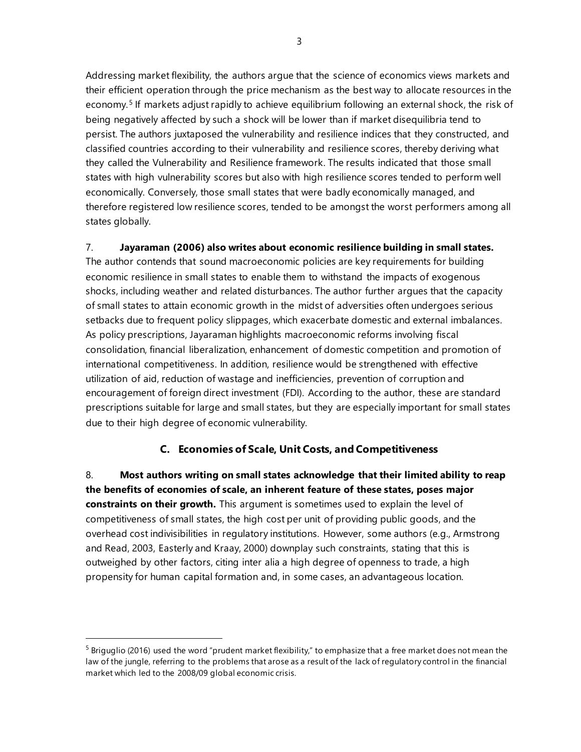Addressing market flexibility, the authors argue that the science of economics views markets and their efficient operation through the price mechanism as the best way to allocate resources in the economy.<sup>[5](#page-8-0)</sup> If markets adjust rapidly to achieve equilibrium following an external shock, the risk of being negatively affected by such a shock will be lower than if market disequilibria tend to persist. The authors juxtaposed the vulnerability and resilience indices that they constructed, and classified countries according to their vulnerability and resilience scores, thereby deriving what they called the Vulnerability and Resilience framework. The results indicated that those small states with high vulnerability scores but also with high resilience scores tended to perform well economically. Conversely, those small states that were badly economically managed, and therefore registered low resilience scores, tended to be amongst the worst performers among all states globally.

7. **Jayaraman (2006) also writes about economic resilience building in small states.**

The author contends that sound macroeconomic policies are key requirements for building economic resilience in small states to enable them to withstand the impacts of exogenous shocks, including weather and related disturbances. The author further argues that the capacity of small states to attain economic growth in the midst of adversities often undergoes serious setbacks due to frequent policy slippages, which exacerbate domestic and external imbalances. As policy prescriptions, Jayaraman highlights macroeconomic reforms involving fiscal consolidation, financial liberalization, enhancement of domestic competition and promotion of international competitiveness. In addition, resilience would be strengthened with effective utilization of aid, reduction of wastage and inefficiencies, prevention of corruption and encouragement of foreign direct investment (FDI). According to the author, these are standard prescriptions suitable for large and small states, but they are especially important for small states due to their high degree of economic vulnerability.

### **C. Economies of Scale, Unit Costs, and Competitiveness**

8. **Most authors writing on small states acknowledge that their limited ability to reap the benefits of economies of scale, an inherent feature of these states, poses major constraints on their growth.** This argument is sometimes used to explain the level of competitiveness of small states, the high cost per unit of providing public goods, and the overhead cost indivisibilities in regulatory institutions. However, some authors (e.g., Armstrong and Read, 2003, Easterly and Kraay, 2000) downplay such constraints, stating that this is outweighed by other factors, citing inter alia a high degree of openness to trade, a high propensity for human capital formation and, in some cases, an advantageous location.

<span id="page-8-0"></span> $5$  Briguglio (2016) used the word "prudent market flexibility," to emphasize that a free market does not mean the law of the jungle, referring to the problems that arose as a result of the lack of regulatory control in the financial market which led to the 2008/09 global economic crisis.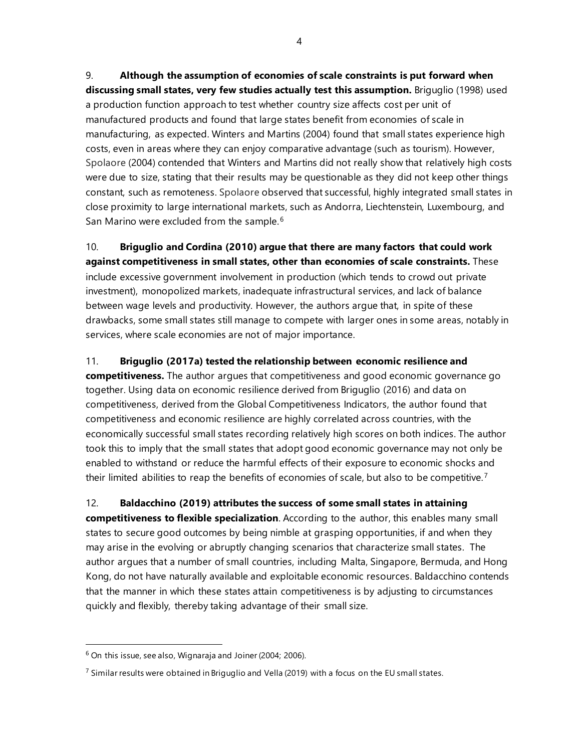9. **Although the assumption of economies of scale constraints is put forward when discussing small states, very few studies actually test this assumption.** Briguglio (1998) used a production function approach to test whether country size affects cost per unit of manufactured products and found that large states benefit from economies of scale in manufacturing, as expected. Winters and Martins (2004) found that small states experience high costs, even in areas where they can enjoy comparative advantage (such as tourism). However, Spolaore (2004) contended that Winters and Martins did not really show that relatively high costs were due to size, stating that their results may be questionable as they did not keep other things constant, such as remoteness. Spolaore observed that successful, highly integrated small states in close proximity to large international markets, such as Andorra, Liechtenstein, Luxembourg, and San Marino were excluded from the sample.<sup>[6](#page-9-0)</sup>

10. **Briguglio and Cordina (2010) argue that there are many factors that could work against competitiveness in small states, other than economies of scale constraints.** These include excessive government involvement in production (which tends to crowd out private investment), monopolized markets, inadequate infrastructural services, and lack of balance between wage levels and productivity. However, the authors argue that, in spite of these drawbacks, some small states still manage to compete with larger ones in some areas, notably in services, where scale economies are not of major importance.

11. **Briguglio (2017a) tested the relationship between economic resilience and competitiveness.** The author argues that competitiveness and good economic governance go together. Using data on economic resilience derived from Briguglio (2016) and data on competitiveness, derived from the Global Competitiveness Indicators, the author found that competitiveness and economic resilience are highly correlated across countries, with the economically successful small states recording relatively high scores on both indices. The author took this to imply that the small states that adopt good economic governance may not only be enabled to withstand or reduce the harmful effects of their exposure to economic shocks and their limited abilities to reap the benefits of economies of scale, but also to be competitive.<sup>[7](#page-9-1)</sup>

12. **Baldacchino (2019) attributes the success of some small states in attaining competitiveness to flexible specialization**. According to the author, this enables many small states to secure good outcomes by being nimble at grasping opportunities, if and when they may arise in the evolving or abruptly changing scenarios that characterize small states. The author argues that a number of small countries, including Malta, Singapore, Bermuda, and Hong Kong, do not have naturally available and exploitable economic resources. Baldacchino contends that the manner in which these states attain competitiveness is by adjusting to circumstances quickly and flexibly, thereby taking advantage of their small size.

<span id="page-9-0"></span> $6$  On this issue, see also, Wignaraja and Joiner (2004; 2006).

<span id="page-9-1"></span> $^7$  Similar results were obtained in Briguglio and Vella (2019) with a focus on the EU small states.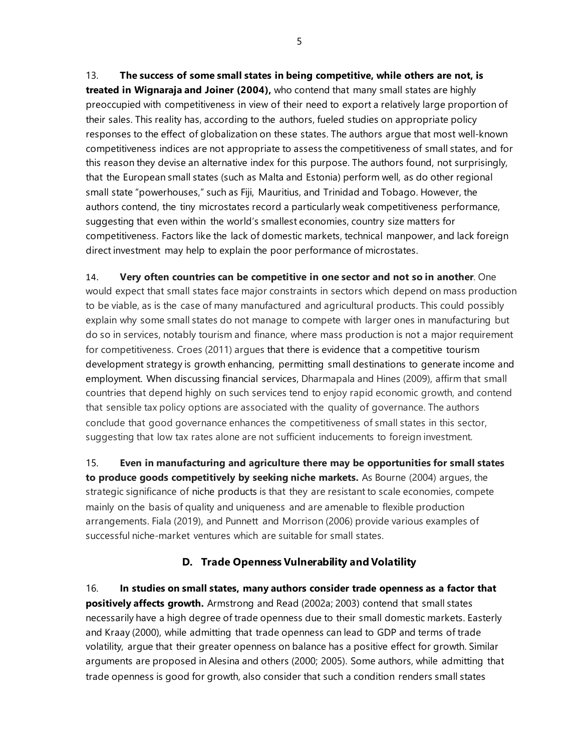13. **The success of some small states in being competitive, while others are not, is treated in Wignaraja and Joiner (2004),** who contend that many small states are highly preoccupied with competitiveness in view of their need to export a relatively large proportion of their sales. This reality has, according to the authors, fueled studies on appropriate policy responses to the effect of globalization on these states. The authors argue that most well-known competitiveness indices are not appropriate to assess the competitiveness of small states, and for this reason they devise an alternative index for this purpose. The authors found, not surprisingly, that the European small states (such as Malta and Estonia) perform well, as do other regional small state "powerhouses," such as Fiji, Mauritius, and Trinidad and Tobago. However, the authors contend, the tiny microstates record a particularly weak competitiveness performance, suggesting that even within the world's smallest economies, country size matters for competitiveness. Factors like the lack of domestic markets, technical manpower, and lack foreign direct investment may help to explain the poor performance of microstates.

14. **Very often countries can be competitive in one sector and not so in another**. One would expect that small states face major constraints in sectors which depend on mass production to be viable, as is the case of many manufactured and agricultural products. This could possibly explain why some small states do not manage to compete with larger ones in manufacturing but do so in services, notably tourism and finance, where mass production is not a major requirement for competitiveness. Croes (2011) argues that there is evidence that a competitive tourism development strategy is growth enhancing, permitting small destinations to generate income and employment. When discussing financial services, Dharmapala and Hines (2009), affirm that small countries that depend highly on such services tend to enjoy rapid economic growth, and contend that sensible tax policy options are associated with the quality of governance. The authors conclude that good governance enhances the competitiveness of small states in this sector, suggesting that low tax rates alone are not sufficient inducements to foreign investment.

15. **Even in manufacturing and agriculture there may be opportunities for small states to produce goods competitively by seeking niche markets.** As Bourne (2004) argues, the strategic significance of niche products is that they are resistant to scale economies, compete mainly on the basis of quality and uniqueness and are amenable to flexible production arrangements. Fiala (2019), and Punnett and Morrison (2006) provide various examples of successful niche-market ventures which are suitable for small states.

### **D. Trade Openness Vulnerability and Volatility**

16. **In studies on small states, many authors consider trade openness as a factor that positively affects growth.** Armstrong and Read (2002a; 2003) contend that small states necessarily have a high degree of trade openness due to their small domestic markets. Easterly and Kraay (2000), while admitting that trade openness can lead to GDP and terms of trade volatility, argue that their greater openness on balance has a positive effect for growth. Similar arguments are proposed in Alesina and others (2000; 2005). Some authors, while admitting that trade openness is good for growth, also consider that such a condition renders small states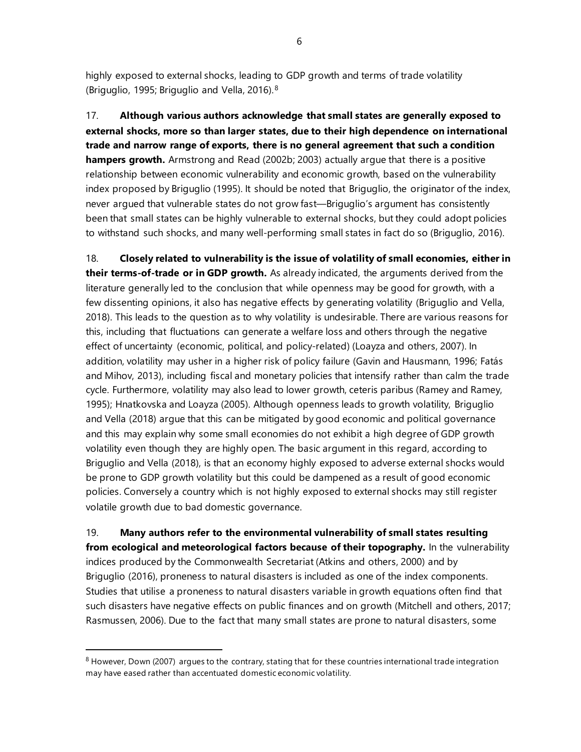highly exposed to external shocks, leading to GDP growth and terms of trade volatility (Briguglio, 1995; Briguglio and Vella, 2016).[8](#page-11-0)

17. **Although various authors acknowledge that small states are generally exposed to external shocks, more so than larger states, due to their high dependence on international trade and narrow range of exports, there is no general agreement that such a condition hampers growth.** Armstrong and Read (2002b; 2003) actually argue that there is a positive relationship between economic vulnerability and economic growth, based on the vulnerability index proposed by Briguglio (1995). It should be noted that Briguglio, the originator of the index, never argued that vulnerable states do not grow fast—Briguglio's argument has consistently been that small states can be highly vulnerable to external shocks, but they could adopt policies to withstand such shocks, and many well-performing small states in fact do so (Briguglio, 2016).

18. **Closely related to vulnerability is the issue of volatility of small economies, either in their terms-of-trade or in GDP growth.** As already indicated, the arguments derived from the literature generally led to the conclusion that while openness may be good for growth, with a few dissenting opinions, it also has negative effects by generating volatility (Briguglio and Vella, 2018). This leads to the question as to why volatility is undesirable. There are various reasons for this, including that fluctuations can generate a welfare loss and others through the negative effect of uncertainty (economic, political, and policy-related) (Loayza and others, 2007). In addition, volatility may usher in a higher risk of policy failure (Gavin and Hausmann, 1996; Fatás and Mihov, 2013), including fiscal and monetary policies that intensify rather than calm the trade cycle. Furthermore, volatility may also lead to lower growth, ceteris paribus (Ramey and Ramey, 1995); Hnatkovska and Loayza (2005). Although openness leads to growth volatility, Briguglio and Vella (2018) argue that this can be mitigated by good economic and political governance and this may explain why some small economies do not exhibit a high degree of GDP growth volatility even though they are highly open. The basic argument in this regard, according to Briguglio and Vella (2018), is that an economy highly exposed to adverse external shocks would be prone to GDP growth volatility but this could be dampened as a result of good economic policies. Conversely a country which is not highly exposed to external shocks may still register volatile growth due to bad domestic governance.

19. **Many authors refer to the environmental vulnerability of small states resulting from ecological and meteorological factors because of their topography.** In the vulnerability indices produced by the Commonwealth Secretariat (Atkins and others, 2000) and by Briguglio (2016), proneness to natural disasters is included as one of the index components. Studies that utilise a proneness to natural disasters variable in growth equations often find that such disasters have negative effects on public finances and on growth (Mitchell and others, 2017; Rasmussen, 2006). Due to the fact that many small states are prone to natural disasters, some

6

<span id="page-11-0"></span> $8$  However, Down (2007) argues to the contrary, stating that for these countries international trade integration may have eased rather than accentuated domestic economic volatility.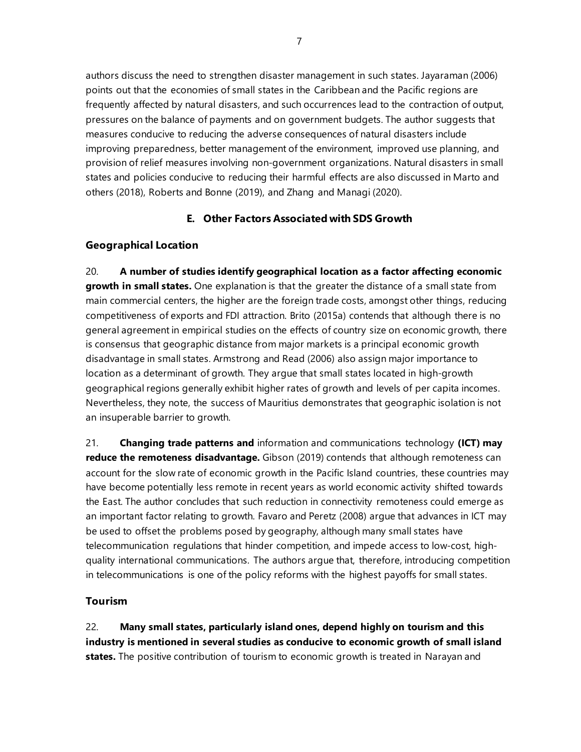authors discuss the need to strengthen disaster management in such states. Jayaraman (2006) points out that the economies of small states in the Caribbean and the Pacific regions are frequently affected by natural disasters, and such occurrences lead to the contraction of output, pressures on the balance of payments and on government budgets. The author suggests that measures conducive to reducing the adverse consequences of natural disasters include improving preparedness, better management of the environment, improved use planning, and provision of relief measures involving non-government organizations. Natural disasters in small states and policies conducive to reducing their harmful effects are also discussed in Marto and others (2018), Roberts and Bonne (2019), and Zhang and Managi (2020).

### **E. Other Factors Associated with SDS Growth**

### **Geographical Location**

20. **A number of studies identify geographical location as a factor affecting economic growth in small states.** One explanation is that the greater the distance of a small state from main commercial centers, the higher are the foreign trade costs, amongst other things, reducing competitiveness of exports and FDI attraction. Brito (2015a) contends that although there is no general agreement in empirical studies on the effects of country size on economic growth, there is consensus that geographic distance from major markets is a principal economic growth disadvantage in small states. Armstrong and Read (2006) also assign major importance to location as a determinant of growth. They argue that small states located in high-growth geographical regions generally exhibit higher rates of growth and levels of per capita incomes. Nevertheless, they note, the success of Mauritius demonstrates that geographic isolation is not an insuperable barrier to growth.

21. **Changing trade patterns and** information and communications technology **(ICT) may reduce the remoteness disadvantage.** Gibson (2019) contends that although remoteness can account for the slow rate of economic growth in the Pacific Island countries, these countries may have become potentially less remote in recent years as world economic activity shifted towards the East. The author concludes that such reduction in connectivity remoteness could emerge as an important factor relating to growth. Favaro and Peretz (2008) argue that advances in ICT may be used to offset the problems posed by geography, although many small states have telecommunication regulations that hinder competition, and impede access to low-cost, highquality international communications. The authors argue that, therefore, introducing competition in telecommunications is one of the policy reforms with the highest payoffs for small states.

### **Tourism**

22. **Many small states, particularly island ones, depend highly on tourism and this industry is mentioned in several studies as conducive to economic growth of small island states.** The positive contribution of tourism to economic growth is treated in Narayan and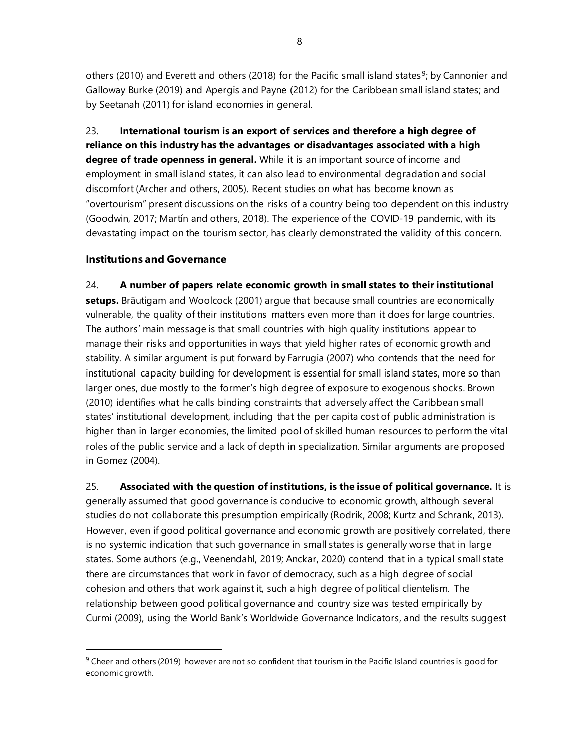others (2010) and Everett and others (2018) for the Pacific small island states<sup>9</sup>; by Cannonier and Galloway Burke (2019) and Apergis and Payne (2012) for the Caribbean small island states; and by Seetanah (2011) for island economies in general.

23. **International tourism is an export of services and therefore a high degree of reliance on this industry has the advantages or disadvantages associated with a high degree of trade openness in general.** While it is an important source of income and employment in small island states, it can also lead to environmental degradation and social discomfort (Archer and others, 2005). Recent studies on what has become known as "overtourism" present discussions on the risks of a country being too dependent on this industry (Goodwin, 2017; Martín and others*,* 2018). The experience of the COVID-19 pandemic, with its devastating impact on the tourism sector, has clearly demonstrated the validity of this concern.

### **Institutions and Governance**

### 24. **A number of papers relate economic growth in small states to their institutional**

**setups.** Bräutigam and Woolcock (2001) argue that because small countries are economically vulnerable, the quality of their institutions matters even more than it does for large countries. The authors' main message is that small countries with high quality institutions appear to manage their risks and opportunities in ways that yield higher rates of economic growth and stability. A similar argument is put forward by Farrugia (2007) who contends that the need for institutional capacity building for development is essential for small island states, more so than larger ones, due mostly to the former's high degree of exposure to exogenous shocks. Brown (2010) identifies what he calls binding constraints that adversely affect the Caribbean small states' institutional development, including that the per capita cost of public administration is higher than in larger economies, the limited pool of skilled human resources to perform the vital roles of the public service and a lack of depth in specialization. Similar arguments are proposed in Gomez (2004).

25. **Associated with the question of institutions, is the issue of political governance.** It is generally assumed that good governance is conducive to economic growth, although several studies do not collaborate this presumption empirically (Rodrik, 2008; Kurtz and Schrank, 2013). However, even if good political governance and economic growth are positively correlated, there is no systemic indication that such governance in small states is generally worse that in large states. Some authors (e.g., Veenendahl, 2019; Anckar, 2020) contend that in a typical small state there are circumstances that work in favor of democracy, such as a high degree of social cohesion and others that work against it, such a high degree of political clientelism. The relationship between good political governance and country size was tested empirically by Curmi (2009), using the World Bank's Worldwide Governance Indicators, and the results suggest

<span id="page-13-0"></span> $9$  Cheer and others (2019) however are not so confident that tourism in the Pacific Island countries is good for economic growth.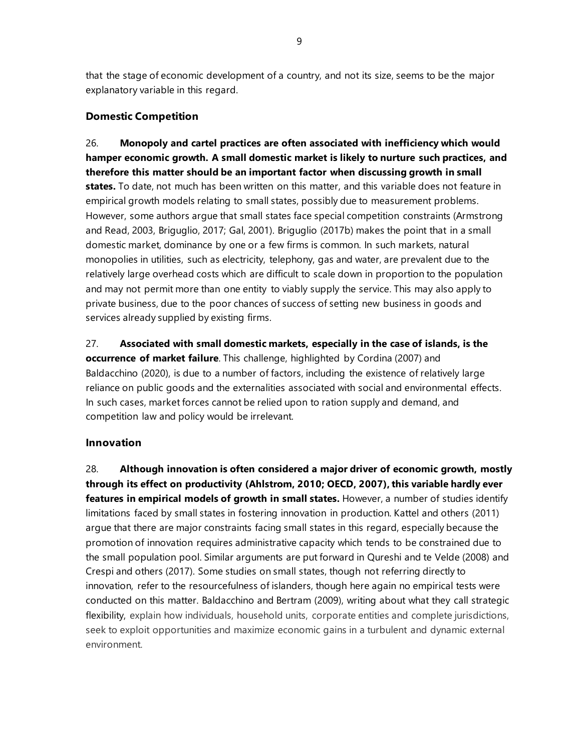that the stage of economic development of a country, and not its size, seems to be the major explanatory variable in this regard.

### **Domestic Competition**

26. **Monopoly and cartel practices are often associated with inefficiency which would hamper economic growth. A small domestic market is likely to nurture such practices, and therefore this matter should be an important factor when discussing growth in small states.** To date, not much has been written on this matter, and this variable does not feature in empirical growth models relating to small states, possibly due to measurement problems. However, some authors argue that small states face special competition constraints (Armstrong and Read, 2003, Briguglio, 2017; Gal, 2001). Briguglio (2017b) makes the point that in a small domestic market, dominance by one or a few firms is common. In such markets, natural monopolies in utilities, such as electricity, telephony, gas and water, are prevalent due to the relatively large overhead costs which are difficult to scale down in proportion to the population and may not permit more than one entity to viably supply the service. This may also apply to private business, due to the poor chances of success of setting new business in goods and services already supplied by existing firms.

27. **Associated with small domestic markets, especially in the case of islands, is the occurrence of market failure**. This challenge, highlighted by Cordina (2007) and Baldacchino (2020), is due to a number of factors, including the existence of relatively large reliance on public goods and the externalities associated with social and environmental effects. In such cases, market forces cannot be relied upon to ration supply and demand, and competition law and policy would be irrelevant.

### **Innovation**

28. **Although innovation is often considered a major driver of economic growth, mostly through its effect on productivity (Ahlstrom, 2010; OECD, 2007), this variable hardly ever features in empirical models of growth in small states.** However, a number of studies identify limitations faced by small states in fostering innovation in production. Kattel and others (2011) argue that there are major constraints facing small states in this regard, especially because the promotion of innovation requires administrative capacity which tends to be constrained due to the small population pool. Similar arguments are put forward in Qureshi and [te Velde](https://scholar.google.com/citations?user=tLGvSzIAAAAJ&hl=en&oi=sra) (2008) and Crespi and others (2017). Some studies on small states, though not referring directly to innovation, refer to the resourcefulness of islanders, though here again no empirical tests were conducted on this matter. Baldacchino and Bertram (2009), writing about what they call strategic flexibility, explain how individuals, household units, corporate entities and complete jurisdictions, seek to exploit opportunities and maximize economic gains in a turbulent and dynamic external environment.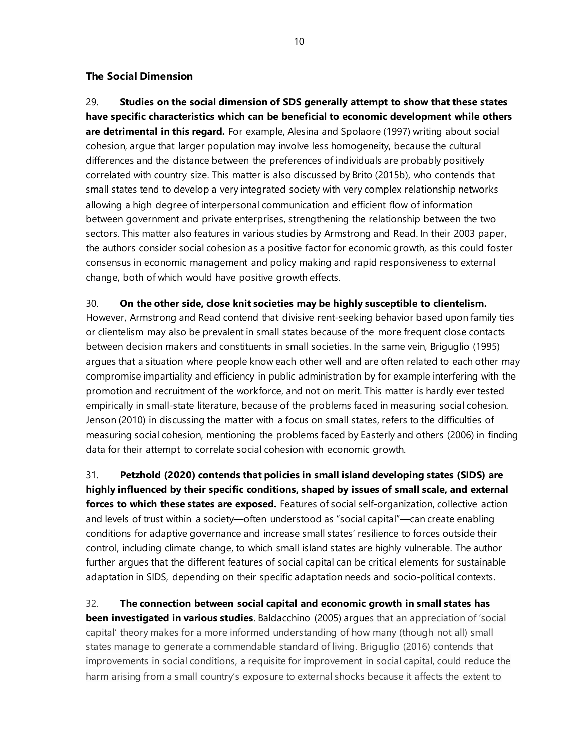### **The Social Dimension**

29. **Studies on the social dimension of SDS generally attempt to show that these states have specific characteristics which can be beneficial to economic development while others are detrimental in this regard.** For example, Alesina and Spolaore (1997) writing about social cohesion, argue that larger population may involve less homogeneity, because the cultural differences and the distance between the preferences of individuals are probably positively correlated with country size. This matter is also discussed by Brito (2015b), who contends that small states tend to develop a very integrated society with very complex relationship networks allowing a high degree of interpersonal communication and efficient flow of information between government and private enterprises, strengthening the relationship between the two sectors. This matter also features in various studies by Armstrong and Read. In their 2003 paper, the authors consider social cohesion as a positive factor for economic growth, as this could foster consensus in economic management and policy making and rapid responsiveness to external change, both of which would have positive growth effects.

### 30. **On the other side, close knit societies may be highly susceptible to clientelism.**

However, Armstrong and Read contend that divisive rent-seeking behavior based upon family ties or clientelism may also be prevalent in small states because of the more frequent close contacts between decision makers and constituents in small societies. In the same vein, Briguglio (1995) argues that a situation where people know each other well and are often related to each other may compromise impartiality and efficiency in public administration by for example interfering with the promotion and recruitment of the workforce, and not on merit. This matter is hardly ever tested empirically in small-state literature, because of the problems faced in measuring social cohesion. Jenson (2010) in discussing the matter with a focus on small states, refers to the difficulties of measuring social cohesion, mentioning the problems faced by Easterly and others (2006) in finding data for their attempt to correlate social cohesion with economic growth.

31. **Petzhold (2020) contends that policies in small island developing states (SIDS) are highly influenced by their specific conditions, shaped by issues of small scale, and external forces to which these states are exposed.** Features of social self-organization, collective action and levels of trust within a society—often understood as "social capital"—can create enabling conditions for adaptive governance and increase small states' resilience to forces outside their control, including climate change, to which small island states are highly vulnerable. The author further argues that the different features of social capital can be critical elements for sustainable adaptation in SIDS, depending on their specific adaptation needs and socio-political contexts.

32. **The connection between social capital and economic growth in small states has been investigated in various studies**. Baldacchino (2005) argues that an appreciation of 'social capital' theory makes for a more informed understanding of how many (though not all) small states manage to generate a commendable standard of living. Briguglio (2016) contends that improvements in social conditions, a requisite for improvement in social capital, could reduce the harm arising from a small country's exposure to external shocks because it affects the extent to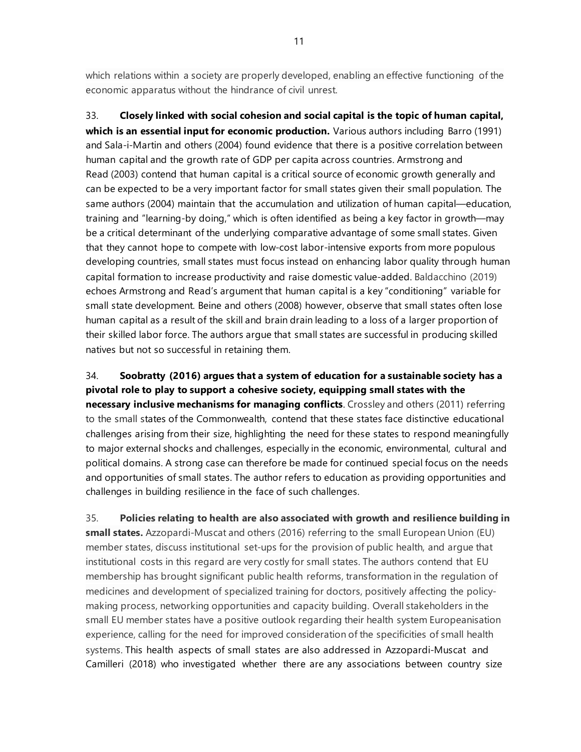which relations within a society are properly developed, enabling an effective functioning of the economic apparatus without the hindrance of civil unrest.

33. **Closely linked with social cohesion and social capital is the topic of human capital, which is an essential input for economic production.** Various authors including Barro (1991) and Sala-i-Martin and others (2004) found evidence that there is a positive correlation between human capital and the growth rate of GDP per capita across countries. Armstrong and Read (2003) contend that human capital is a critical source of economic growth generally and can be expected to be a very important factor for small states given their small population. The same authors (2004) maintain that the accumulation and utilization of human capital—education, training and "learning-by doing," which is often identified as being a key factor in growth—may be a critical determinant of the underlying comparative advantage of some small states. Given that they cannot hope to compete with low-cost labor-intensive exports from more populous developing countries, small states must focus instead on enhancing labor quality through human capital formation to increase productivity and raise domestic value-added. Baldacchino (2019) echoes Armstrong and Read's argument that human capital is a key "conditioning" variable for small state development. Beine and others (2008) however, observe that small states often lose human capital as a result of the skill and brain drain leading to a loss of a larger proportion of their skilled labor force. The authors argue that small states are successful in producing skilled natives but not so successful in retaining them.

34. **Soobratty (2016) argues that a system of education for a sustainable society has a pivotal role to play to support a cohesive society, equipping small states with the necessary inclusive mechanisms for managing conflicts**. Crossley and others (2011) referring to the small states of the Commonwealth, contend that these states face distinctive educational challenges arising from their size, highlighting the need for these states to respond meaningfully to major external shocks and challenges, especially in the economic, environmental, cultural and political domains. A strong case can therefore be made for continued special focus on the needs and opportunities of small states. The author refers to education as providing opportunities and challenges in building resilience in the face of such challenges.

35. **Policies relating to health are also associated with growth and resilience building in small states.** Azzopardi-Muscat and others (2016) referring to the small European Union (EU) member states, discuss institutional set-ups for the provision of public health, and argue that institutional costs in this regard are very costly for small states. The authors contend that EU membership has brought significant public health reforms, transformation in the regulation of medicines and development of specialized training for doctors, positively affecting the policymaking process, networking opportunities and capacity building. Overall stakeholders in the small EU member states have a positive outlook regarding their health system Europeanisation experience, calling for the need for improved consideration of the specificities of small health systems. This health aspects of small states are also addressed in Azzopardi-Muscat and Camilleri (2018) who investigated whether there are any associations between country size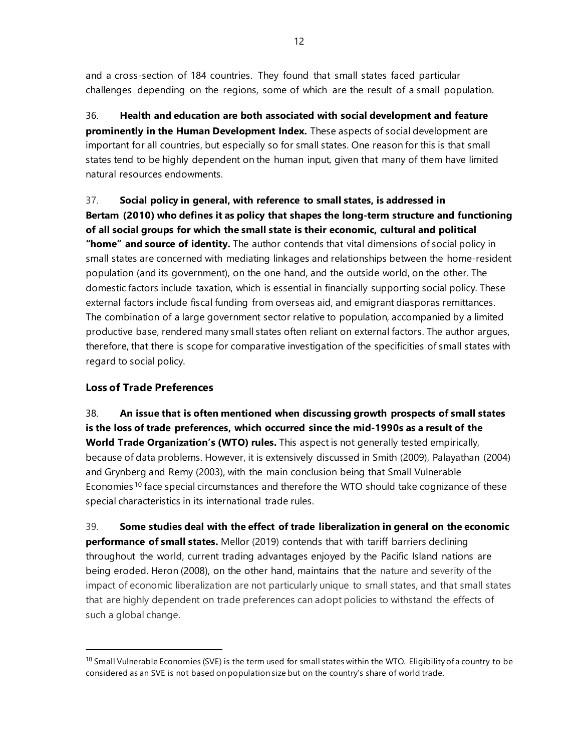and a cross-section of 184 countries. They found that small states faced particular challenges depending on the regions, some of which are the result of a small population.

36. **Health and education are both associated with social development and feature prominently in the Human Development Index.** These aspects of social development are important for all countries, but especially so for small states. One reason for this is that small states tend to be highly dependent on the human input, given that many of them have limited natural resources endowments.

37. **Social policy in general, with reference to small states, is addressed in Bertam (2010) who defines it as policy that shapes the long-term structure and functioning of all social groups for which the small state is their economic, cultural and political "home" and source of identity.** The author contends that vital dimensions of social policy in small states are concerned with mediating linkages and relationships between the home-resident population (and its government), on the one hand, and the outside world, on the other. The domestic factors include taxation, which is essential in financially supporting social policy. These external factors include fiscal funding from overseas aid, and emigrant diasporas remittances. The combination of a large government sector relative to population, accompanied by a limited productive base, rendered many small states often reliant on external factors. The author argues, therefore, that there is scope for comparative investigation of the specificities of small states with regard to social policy.

### **Loss of Trade Preferences**

38. **An issue that is often mentioned when discussing growth prospects of small states is the loss of trade preferences, which occurred since the mid-1990s as a result of the World Trade Organization's (WTO) rules.** This aspect is not generally tested empirically, because of data problems. However, it is extensively discussed in Smith (2009), Palayathan (2004) and Grynberg and Remy (2003), with the main conclusion being that Small Vulnerable Economies <sup>[10](#page-17-0)</sup> face special circumstances and therefore the WTO should take cognizance of these special characteristics in its international trade rules.

39. **Some studies deal with the effect of trade liberalization in general on the economic performance of small states.** Mellor (2019) contends that with tariff barriers declining throughout the world, current trading advantages enjoyed by the Pacific Island nations are being eroded. Heron (2008), on the other hand, maintains that the nature and severity of the impact of economic liberalization are not particularly unique to small states, and that small states that are highly dependent on trade preferences can adopt policies to withstand the effects of such a global change.

<span id="page-17-0"></span> $10$  Small Vulnerable Economies (SVE) is the term used for small states within the WTO. Eligibility of a country to be considered as an SVE is not based on population size but on the country's share of world trade.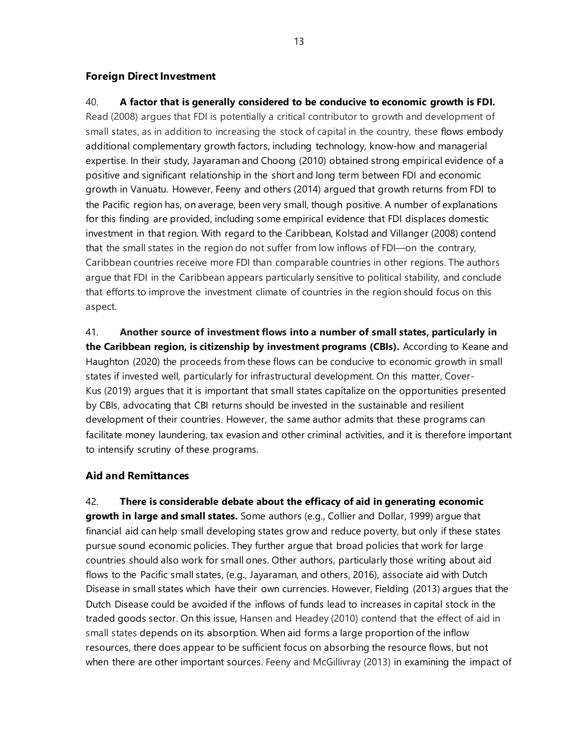### **Foreign Direct Investment**

# 40. **A factor that is generally considered to be conducive to economic growth is FDI.** Read (2008) argues that FDI is potentially a critical contributor to growth and development of small states, as in addition to increasing the stock of capital in the country, these flows embody additional complementary growth factors, including technology, know-how and managerial expertise. In their study, Jayaraman and Choong (2010) obtained strong empirical evidence of a positive and significant relationship in the short and long term between FDI and economic growth in Vanuatu. However, Feeny and others (2014) argued that growth returns from FDI to the Pacific region has, on average, been very small, though positive. A number of explanations for this finding are provided, including some empirical evidence that FDI displaces domestic investment in that region. With regard to the Caribbean, Kolstad and Villanger (2008) contend that the small states in the region do not suffer from low inflows of FDI—on the contrary, Caribbean countries receive more FDI than comparable countries in other regions. The authors argue that FDI in the Caribbean appears particularly sensitive to political stability, and conclude that efforts to improve the investment climate of countries in the region should focus on this aspect.

41. **Another source of investment flows into a number of small states, particularly in the Caribbean region, is citizenship by investment programs (CBIs).** According to Keane and Haughton (2020) the proceeds from these flows can be conducive to economic growth in small states if invested well, particularly for infrastructural development. On this matter, Cover-Kus (2019) argues that it is important that small states capitalize on the opportunities presented by CBIs, advocating that CBI returns should be invested in the sustainable and resilient development of their countries. However, the same author admits that these programs can facilitate money laundering, tax evasion and other criminal activities, and it is therefore important to intensify scrutiny of these programs.

### **Aid and Remittances**

42. **There is considerable debate about the efficacy of aid in generating economic growth in large and small states.** Some authors (e.g., Collier and Dollar, 1999) argue that financial aid can help small developing states grow and reduce poverty, but only if these states pursue sound economic policies. They further argue that broad policies that work for large countries should also work for small ones. Other authors, particularly those writing about aid flows to the Pacific small states, (e.g., Jayaraman, and others, 2016), associate aid with Dutch Disease in small states which have their own currencies. However, Fielding (2013) argues that the Dutch Disease could be avoided if the inflows of funds lead to increases in capital stock in the traded goods sector. On this issue, Hansen and Headey (2010) contend that the effect of aid in small states depends on its absorption. When aid forms a large proportion of the inflow resources, there does appear to be sufficient focus on absorbing the resource flows, but not when there are other important sources. Feeny and McGillivray (2013) in examining the impact of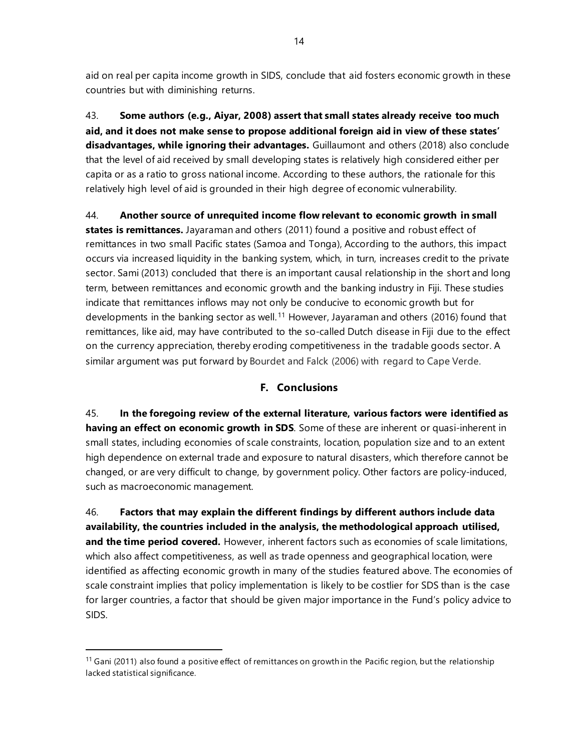aid on real per capita income growth in SIDS, conclude that aid fosters economic growth in these countries but with diminishing returns.

43. **Some authors (e.g., Aiyar, 2008) assert that small states already receive too much aid, and it does not make sense to propose additional foreign aid in view of these states' disadvantages, while ignoring their advantages.** Guillaumont and others (2018) also conclude that the level of aid received by small developing states is relatively high considered either per capita or as a ratio to gross national income. According to these authors, the rationale for this relatively high level of aid is grounded in their high degree of economic vulnerability.

44. **Another source of unrequited income flow relevant to economic growth in small states is remittances.** Jayaraman and others (2011) found a positive and robust effect of remittances in two small Pacific states (Samoa and Tonga), According to the authors, this impact occurs via increased liquidity in the banking system, which, in turn, increases credit to the private sector. Sami (2013) concluded that there is an important causal relationship in the short and long term, between remittances and economic growth and the banking industry in Fiji. These studies indicate that remittances inflows may not only be conducive to economic growth but for developments in the banking sector as well.<sup>[11](#page-19-0)</sup> However, Jayaraman and others (2016) found that remittances, like aid, may have contributed to the so-called Dutch disease in Fiji due to the effect on the currency appreciation, thereby eroding competitiveness in the tradable goods sector. A similar argument was put forward by Bourdet and Falck (2006) with regard to Cape Verde.

### **F. Conclusions**

45. **In the foregoing review of the external literature, various factors were identified as having an effect on economic growth in SDS**. Some of these are inherent or quasi-inherent in small states, including economies of scale constraints, location, population size and to an extent high dependence on external trade and exposure to natural disasters, which therefore cannot be changed, or are very difficult to change, by government policy. Other factors are policy-induced, such as macroeconomic management.

46. **Factors that may explain the different findings by different authors include data availability, the countries included in the analysis, the methodological approach utilised, and the time period covered.** However, inherent factors such as economies of scale limitations, which also affect competitiveness, as well as trade openness and geographical location, were identified as affecting economic growth in many of the studies featured above. The economies of scale constraint implies that policy implementation is likely to be costlier for SDS than is the case for larger countries, a factor that should be given major importance in the Fund's policy advice to SIDS.

<span id="page-19-0"></span> $11$  Gani (2011) also found a positive effect of remittances on growth in the Pacific region, but the relationship lacked statistical significance.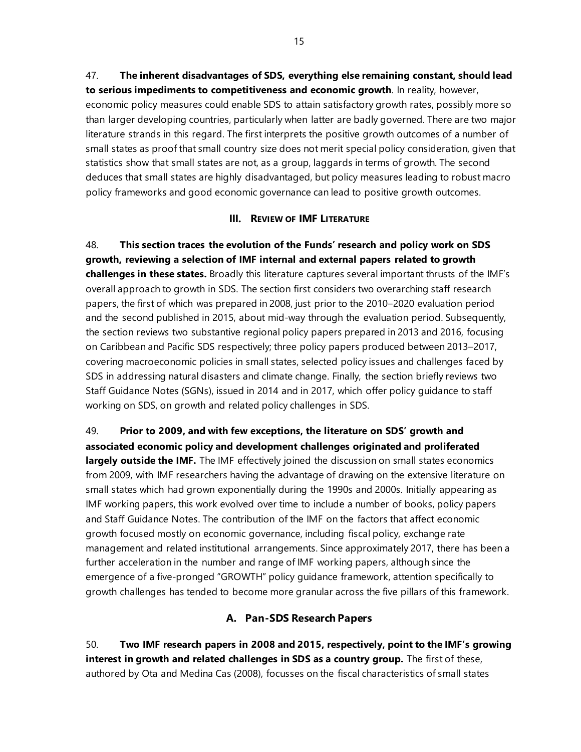47. **The inherent disadvantages of SDS, everything else remaining constant, should lead to serious impediments to competitiveness and economic growth**. In reality, however, economic policy measures could enable SDS to attain satisfactory growth rates, possibly more so than larger developing countries, particularly when latter are badly governed. There are two major literature strands in this regard. The first interprets the positive growth outcomes of a number of small states as proof that small country size does not merit special policy consideration, given that statistics show that small states are not, as a group, laggards in terms of growth. The second deduces that small states are highly disadvantaged, but policy measures leading to robust macro policy frameworks and good economic governance can lead to positive growth outcomes.

### **III. REVIEW OF IMF LITERATURE**

48. **This section traces the evolution of the Funds' research and policy work on SDS growth, reviewing a selection of IMF internal and external papers related to growth challenges in these states.** Broadly this literature captures several important thrusts of the IMF's overall approach to growth in SDS. The section first considers two overarching staff research papers, the first of which was prepared in 2008, just prior to the 2010–2020 evaluation period and the second published in 2015, about mid-way through the evaluation period. Subsequently, the section reviews two substantive regional policy papers prepared in 2013 and 2016, focusing on Caribbean and Pacific SDS respectively; three policy papers produced between 2013–2017, covering macroeconomic policies in small states, selected policy issues and challenges faced by SDS in addressing natural disasters and climate change. Finally, the section briefly reviews two Staff Guidance Notes (SGNs), issued in 2014 and in 2017, which offer policy guidance to staff working on SDS, on growth and related policy challenges in SDS.

49. **Prior to 2009, and with few exceptions, the literature on SDS' growth and associated economic policy and development challenges originated and proliferated largely outside the IMF.** The IMF effectively joined the discussion on small states economics from 2009, with IMF researchers having the advantage of drawing on the extensive literature on small states which had grown exponentially during the 1990s and 2000s. Initially appearing as IMF working papers, this work evolved over time to include a number of books, policy papers and Staff Guidance Notes. The contribution of the IMF on the factors that affect economic growth focused mostly on economic governance, including fiscal policy, exchange rate management and related institutional arrangements. Since approximately 2017, there has been a further acceleration in the number and range of IMF working papers, although since the emergence of a five-pronged "GROWTH" policy guidance framework, attention specifically to growth challenges has tended to become more granular across the five pillars of this framework.

### **A. Pan-SDS Research Papers**

50. **Two IMF research papers in 2008 and 2015, respectively, point to the IMF's growing interest in growth and related challenges in SDS as a country group.** The first of these, authored by Ota and Medina Cas (2008), focusses on the fiscal characteristics of small states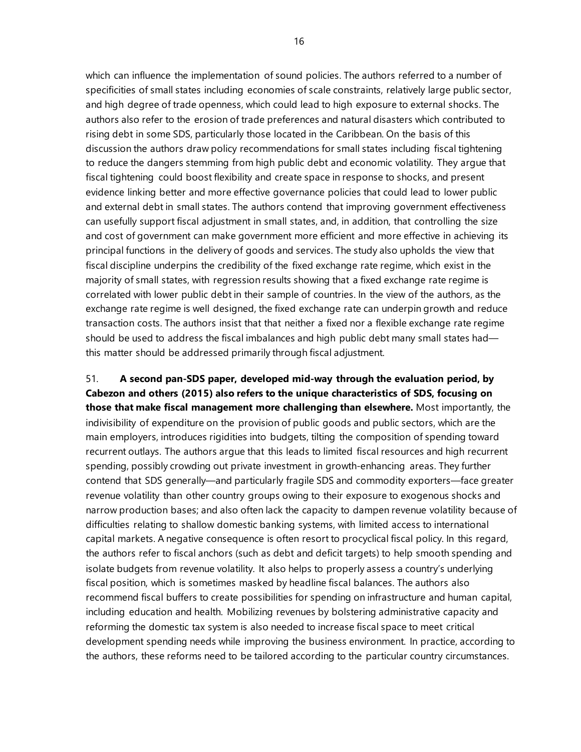which can influence the implementation of sound policies. The authors referred to a number of specificities of small states including economies of scale constraints, relatively large public sector, and high degree of trade openness, which could lead to high exposure to external shocks. The authors also refer to the erosion of trade preferences and natural disasters which contributed to rising debt in some SDS, particularly those located in the Caribbean. On the basis of this discussion the authors draw policy recommendations for small states including fiscal tightening to reduce the dangers stemming from high public debt and economic volatility. They argue that fiscal tightening could boost flexibility and create space in response to shocks, and present evidence linking better and more effective governance policies that could lead to lower public and external debt in small states. The authors contend that improving government effectiveness can usefully support fiscal adjustment in small states, and, in addition, that controlling the size and cost of government can make government more efficient and more effective in achieving its principal functions in the delivery of goods and services. The study also upholds the view that fiscal discipline underpins the credibility of the fixed exchange rate regime, which exist in the majority of small states, with regression results showing that a fixed exchange rate regime is correlated with lower public debt in their sample of countries. In the view of the authors, as the exchange rate regime is well designed, the fixed exchange rate can underpin growth and reduce transaction costs. The authors insist that that neither a fixed nor a flexible exchange rate regime should be used to address the fiscal imbalances and high public debt many small states had this matter should be addressed primarily through fiscal adjustment.

51. **A second pan-SDS paper, developed mid-way through the evaluation period, by Cabezon and others (2015) also refers to the unique characteristics of SDS, focusing on those that make fiscal management more challenging than elsewhere.** Most importantly, the indivisibility of expenditure on the provision of public goods and public sectors, which are the main employers, introduces rigidities into budgets, tilting the composition of spending toward recurrent outlays. The authors argue that this leads to limited fiscal resources and high recurrent spending, possibly crowding out private investment in growth-enhancing areas. They further contend that SDS generally—and particularly fragile SDS and commodity exporters—face greater revenue volatility than other country groups owing to their exposure to exogenous shocks and narrow production bases; and also often lack the capacity to dampen revenue volatility because of difficulties relating to shallow domestic banking systems, with limited access to international capital markets. A negative consequence is often resort to procyclical fiscal policy. In this regard, the authors refer to fiscal anchors (such as debt and deficit targets) to help smooth spending and isolate budgets from revenue volatility. It also helps to properly assess a country's underlying fiscal position, which is sometimes masked by headline fiscal balances. The authors also recommend fiscal buffers to create possibilities for spending on infrastructure and human capital, including education and health. Mobilizing revenues by bolstering administrative capacity and reforming the domestic tax system is also needed to increase fiscal space to meet critical development spending needs while improving the business environment. In practice, according to the authors, these reforms need to be tailored according to the particular country circumstances.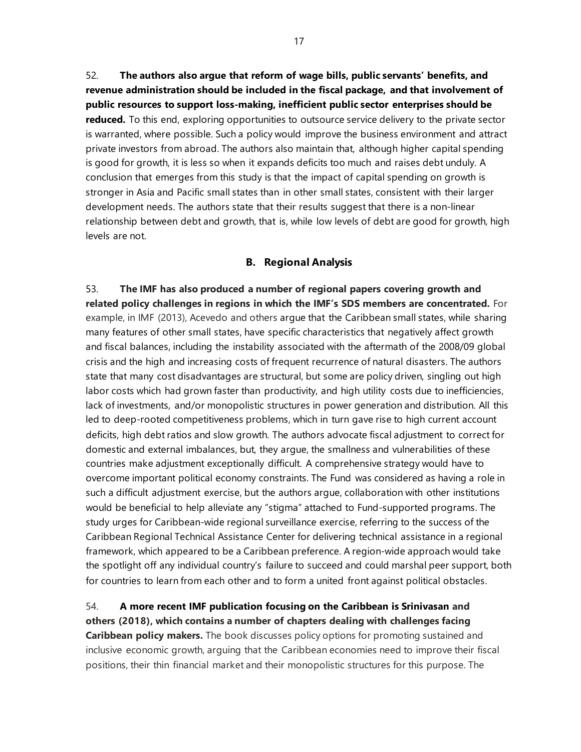52. **The authors also argue that reform of wage bills, public servants' benefits, and revenue administration should be included in the fiscal package, and that involvement of public resources to support loss-making, inefficient public sector enterprises should be reduced.** To this end, exploring opportunities to outsource service delivery to the private sector is warranted, where possible. Such a policy would improve the business environment and attract private investors from abroad. The authors also maintain that, although higher capital spending is good for growth, it is less so when it expands deficits too much and raises debt unduly. A conclusion that emerges from this study is that the impact of capital spending on growth is stronger in Asia and Pacific small states than in other small states, consistent with their larger development needs. The authors state that their results suggest that there is a non-linear relationship between debt and growth, that is, while low levels of debt are good for growth, high levels are not.

#### **B. Regional Analysis**

53. **The IMF has also produced a number of regional papers covering growth and related policy challenges in regions in which the IMF's SDS members are concentrated.** For example, in IMF (2013), Acevedo and others argue that the Caribbean small states, while sharing many features of other small states, have specific characteristics that negatively affect growth and fiscal balances, including the instability associated with the aftermath of the 2008/09 global crisis and the high and increasing costs of frequent recurrence of natural disasters. The authors state that many cost disadvantages are structural, but some are policy driven, singling out high labor costs which had grown faster than productivity, and high utility costs due to inefficiencies, lack of investments, and/or monopolistic structures in power generation and distribution. All this led to deep-rooted competitiveness problems, which in turn gave rise to high current account deficits, high debt ratios and slow growth. The authors advocate fiscal adjustment to correct for domestic and external imbalances, but, they argue, the smallness and vulnerabilities of these countries make adjustment exceptionally difficult. A comprehensive strategy would have to overcome important political economy constraints. The Fund was considered as having a role in such a difficult adjustment exercise, but the authors argue, collaboration with other institutions would be beneficial to help alleviate any "stigma" attached to Fund-supported programs. The study urges for Caribbean-wide regional surveillance exercise, referring to the success of the Caribbean Regional Technical Assistance Center for delivering technical assistance in a regional framework, which appeared to be a Caribbean preference. A region-wide approach would take the spotlight off any individual country's failure to succeed and could marshal peer support, both for countries to learn from each other and to form a united front against political obstacles.

### 54. **A more recent IMF publication focusing on the Caribbean is Srinivasan and others (2018), which contains a number of chapters dealing with challenges facing**

**Caribbean policy makers.** The book discusses policy options for promoting sustained and inclusive economic growth, arguing that the Caribbean economies need to improve their fiscal positions, their thin financial market and their monopolistic structures for this purpose. The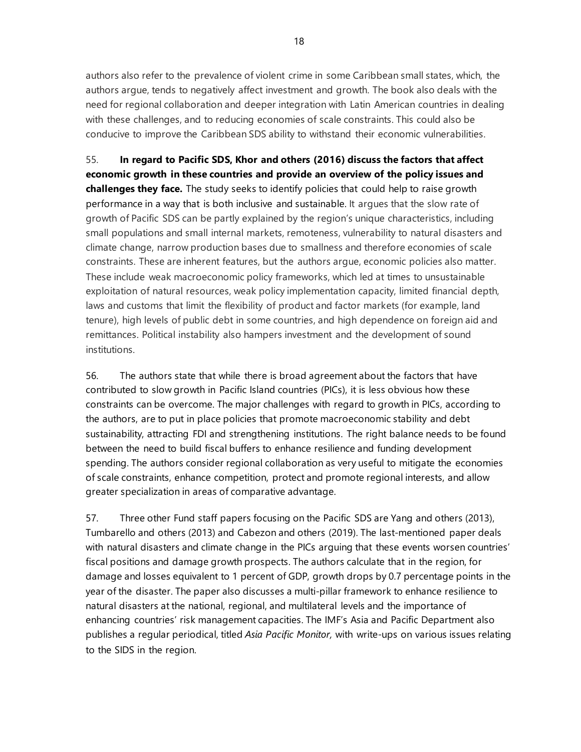authors also refer to the prevalence of violent crime in some Caribbean small states, which, the authors argue, tends to negatively affect investment and growth. The book also deals with the need for regional collaboration and deeper integration with Latin American countries in dealing with these challenges, and to reducing economies of scale constraints. This could also be conducive to improve the Caribbean SDS ability to withstand their economic vulnerabilities.

55. **In regard to Pacific SDS, Khor and others (2016) discuss the factors that affect economic growth in these countries and provide an overview of the policy issues and challenges they face.** The study seeks to identify policies that could help to raise growth performance in a way that is both inclusive and sustainable. It argues that the slow rate of growth of Pacific SDS can be partly explained by the region's unique characteristics, including small populations and small internal markets, remoteness, vulnerability to natural disasters and climate change, narrow production bases due to smallness and therefore economies of scale constraints. These are inherent features, but the authors argue, economic policies also matter. These include weak macroeconomic policy frameworks, which led at times to unsustainable exploitation of natural resources, weak policy implementation capacity, limited financial depth, laws and customs that limit the flexibility of product and factor markets (for example, land tenure), high levels of public debt in some countries, and high dependence on foreign aid and remittances. Political instability also hampers investment and the development of sound institutions.

56. The authors state that while there is broad agreement about the factors that have contributed to slow growth in Pacific Island countries (PICs), it is less obvious how these constraints can be overcome. The major challenges with regard to growth in PICs, according to the authors, are to put in place policies that promote macroeconomic stability and debt sustainability, attracting FDI and strengthening institutions. The right balance needs to be found between the need to build fiscal buffers to enhance resilience and funding development spending. The authors consider regional collaboration as very useful to mitigate the economies of scale constraints, enhance competition, protect and promote regional interests, and allow greater specialization in areas of comparative advantage.

57. Three other Fund staff papers focusing on the Pacific SDS are Yang and others (2013), Tumbarello and others (2013) and Cabezon and others (2019). The last-mentioned paper deals with natural disasters and climate change in the PICs arguing that these events worsen countries' fiscal positions and damage growth prospects. The authors calculate that in the region, for damage and losses equivalent to 1 percent of GDP, growth drops by 0.7 percentage points in the year of the disaster. The paper also discusses a multi-pillar framework to enhance resilience to natural disasters at the national, regional, and multilateral levels and the importance of enhancing countries' risk management capacities. The IMF's Asia and Pacific Department also publishes a regular periodical, titled *Asia Pacific Monitor,* with write-ups on various issues relating to the SIDS in the region.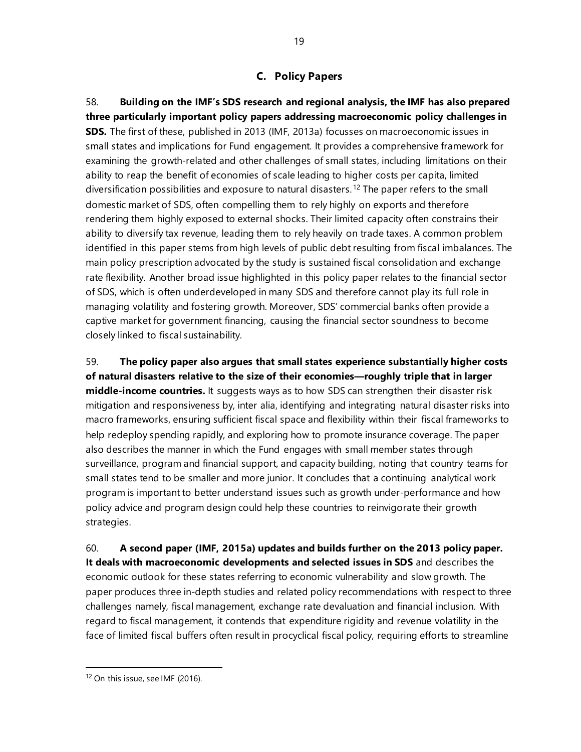### **C. Policy Papers**

58. **Building on the IMF's SDS research and regional analysis, the IMF has also prepared three particularly important policy papers addressing macroeconomic policy challenges in SDS.** The first of these, published in 2013 (IMF, 2013a) focusses on macroeconomic issues in small states and implications for Fund engagement. It provides a comprehensive framework for examining the growth-related and other challenges of small states, including limitations on their ability to reap the benefit of economies of scale leading to higher costs per capita, limited diversification possibilities and exposure to natural disasters.[12](#page-24-0) The paper refers to the small domestic market of SDS, often compelling them to rely highly on exports and therefore rendering them highly exposed to external shocks. Their limited capacity often constrains their ability to diversify tax revenue, leading them to rely heavily on trade taxes. A common problem identified in this paper stems from high levels of public debt resulting from fiscal imbalances. The main policy prescription advocated by the study is sustained fiscal consolidation and exchange rate flexibility. Another broad issue highlighted in this policy paper relates to the financial sector of SDS, which is often underdeveloped in many SDS and therefore cannot play its full role in managing volatility and fostering growth. Moreover, SDS' commercial banks often provide a captive market for government financing, causing the financial sector soundness to become closely linked to fiscal sustainability.

59. **The policy paper also argues that small states experience substantially higher costs of natural disasters relative to the size of their economies—roughly triple that in larger middle-income countries.** It suggests ways as to how SDS can strengthen their disaster risk mitigation and responsiveness by, inter alia, identifying and integrating natural disaster risks into macro frameworks, ensuring sufficient fiscal space and flexibility within their fiscal frameworks to help redeploy spending rapidly, and exploring how to promote insurance coverage. The paper also describes the manner in which the Fund engages with small member states through surveillance, program and financial support, and capacity building, noting that country teams for small states tend to be smaller and more junior. It concludes that a continuing analytical work program is important to better understand issues such as growth under-performance and how policy advice and program design could help these countries to reinvigorate their growth strategies.

60. **A second paper (IMF, 2015a) updates and builds further on the 2013 policy paper. It deals with macroeconomic developments and selected issues in SDS** and describes the economic outlook for these states referring to economic vulnerability and slow growth. The paper produces three in-depth studies and related policy recommendations with respect to three challenges namely, fiscal management, exchange rate devaluation and financial inclusion. With regard to fiscal management, it contends that expenditure rigidity and revenue volatility in the face of limited fiscal buffers often result in procyclical fiscal policy, requiring efforts to streamline

<span id="page-24-0"></span><sup>&</sup>lt;sup>12</sup> On this issue, see IMF (2016).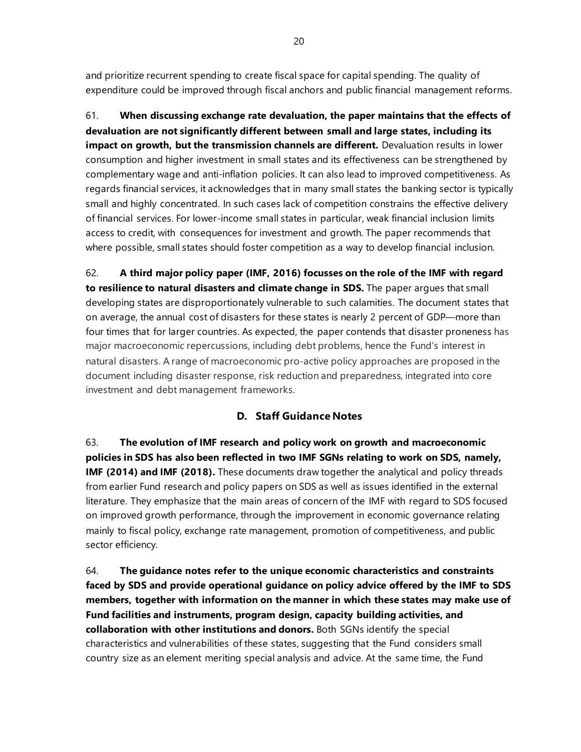and prioritize recurrent spending to create fiscal space for capital spending. The quality of expenditure could be improved through fiscal anchors and public financial management reforms.

61. **When discussing exchange rate devaluation, the paper maintains that the effects of devaluation are not significantly different between small and large states, including its impact on growth, but the transmission channels are different.** Devaluation results in lower consumption and higher investment in small states and its effectiveness can be strengthened by complementary wage and anti-inflation policies. It can also lead to improved competitiveness. As regards financial services, it acknowledges that in many small states the banking sector is typically small and highly concentrated. In such cases lack of competition constrains the effective delivery of financial services. For lower-income small states in particular, weak financial inclusion limits access to credit, with consequences for investment and growth. The paper recommends that where possible, small states should foster competition as a way to develop financial inclusion.

62. **A third major policy paper (IMF, 2016) focusses on the role of the IMF with regard to resilience to natural disasters and climate change in SDS.** The paper argues that small developing states are disproportionately vulnerable to such calamities. The document states that on average, the annual cost of disasters for these states is nearly 2 percent of GDP—more than four times that for larger countries. As expected, the paper contends that disaster proneness has major macroeconomic repercussions, including debt problems, hence the Fund's interest in natural disasters. A range of macroeconomic pro-active policy approaches are proposed in the document including disaster response, risk reduction and preparedness, integrated into core investment and debt management frameworks.

### **D. Staff Guidance Notes**

63. **The evolution of IMF research and policy work on growth and macroeconomic policies in SDS has also been reflected in two IMF SGNs relating to work on SDS, namely, IMF (2014) and IMF (2018).** These documents draw together the analytical and policy threads from earlier Fund research and policy papers on SDS as well as issues identified in the external literature. They emphasize that the main areas of concern of the IMF with regard to SDS focused on improved growth performance, through the improvement in economic governance relating mainly to fiscal policy, exchange rate management, promotion of competitiveness, and public sector efficiency.

64. **The guidance notes refer to the unique economic characteristics and constraints faced by SDS and provide operational guidance on policy advice offered by the IMF to SDS members, together with information on the manner in which these states may make use of Fund facilities and instruments, program design, capacity building activities, and collaboration with other institutions and donors.** Both SGNs identify the special characteristics and vulnerabilities of these states, suggesting that the Fund considers small country size as an element meriting special analysis and advice. At the same time, the Fund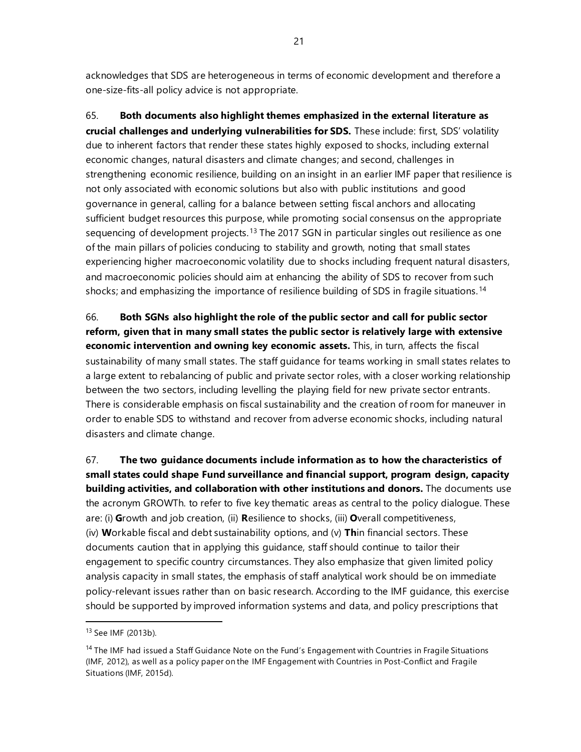acknowledges that SDS are heterogeneous in terms of economic development and therefore a one-size-fits-all policy advice is not appropriate.

65. **Both documents also highlight themes emphasized in the external literature as crucial challenges and underlying vulnerabilities for SDS.** These include: first, SDS' volatility due to inherent factors that render these states highly exposed to shocks, including external economic changes, natural disasters and climate changes; and second, challenges in strengthening economic resilience, building on an insight in an earlier IMF paper that resilience is not only associated with economic solutions but also with public institutions and good governance in general, calling for a balance between setting fiscal anchors and allocating sufficient budget resources this purpose, while promoting social consensus on the appropriate sequencing of development projects.<sup>[13](#page-26-0)</sup> The 2017 SGN in particular singles out resilience as one of the main pillars of policies conducing to stability and growth, noting that small states experiencing higher macroeconomic volatility due to shocks including frequent natural disasters, and macroeconomic policies should aim at enhancing the ability of SDS to recover from such shocks; and emphasizing the importance of resilience building of SDS in fragile situations.<sup>[14](#page-26-1)</sup>

66. **Both SGNs also highlight the role of the public sector and call for public sector reform, given that in many small states the public sector is relatively large with extensive economic intervention and owning key economic assets.** This, in turn, affects the fiscal sustainability of many small states. The staff guidance for teams working in small states relates to a large extent to rebalancing of public and private sector roles, with a closer working relationship between the two sectors, including levelling the playing field for new private sector entrants. There is considerable emphasis on fiscal sustainability and the creation of room for maneuver in order to enable SDS to withstand and recover from adverse economic shocks, including natural disasters and climate change.

67. **The two guidance documents include information as to how the characteristics of small states could shape Fund surveillance and financial support, program design, capacity building activities, and collaboration with other institutions and donors.** The documents use the acronym GROWTh. to refer to five key thematic areas as central to the policy dialogue. These are: (i) **G**rowth and job creation, (ii) **R**esilience to shocks, (iii) **O**verall competitiveness, (iv) **W**orkable fiscal and debt sustainability options, and (v) **Th**in financial sectors. These documents caution that in applying this guidance, staff should continue to tailor their engagement to specific country circumstances. They also emphasize that given limited policy analysis capacity in small states, the emphasis of staff analytical work should be on immediate policy-relevant issues rather than on basic research. According to the IMF guidance, this exercise should be supported by improved information systems and data, and policy prescriptions that

<span id="page-26-0"></span><sup>13</sup> See IMF (2013b).

<span id="page-26-1"></span><sup>&</sup>lt;sup>14</sup> The IMF had issued a Staff Guidance Note on the Fund's Engagement with Countries in Fragile Situations (IMF, 2012), as well as a policy paper on the IMF Engagement with Countries in Post-Conflict and Fragile Situations (IMF, 2015d).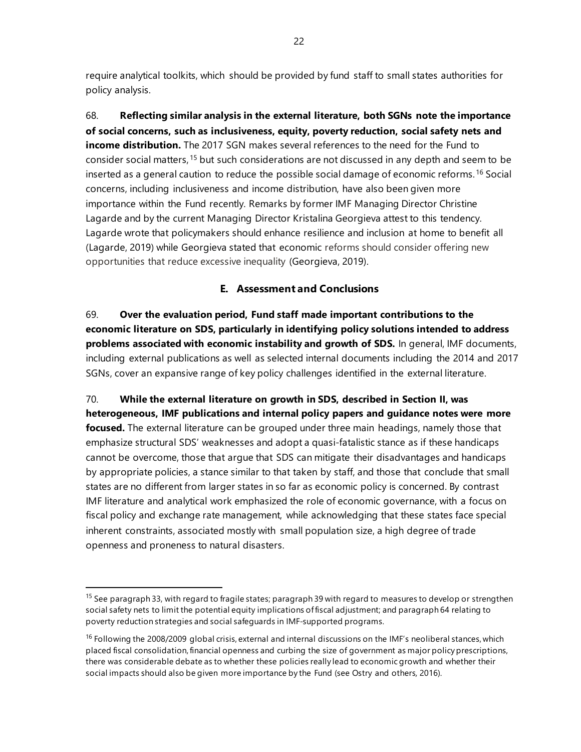require analytical toolkits, which should be provided by fund staff to small states authorities for policy analysis.

68. **Reflecting similar analysis in the external literature, both SGNs note the importance of social concerns, such as inclusiveness, equity, poverty reduction, social safety nets and income distribution.** The 2017 SGN makes several references to the need for the Fund to consider social matters,[15](#page-27-0) but such considerations are not discussed in any depth and seem to be inserted as a general caution to reduce the possible social damage of economic reforms.[16](#page-27-1) Social concerns, including inclusiveness and income distribution, have also been given more importance within the Fund recently. Remarks by former IMF Managing Director Christine Lagarde and by the current Managing Director Kristalina Georgieva attest to this tendency. Lagarde wrote that policymakers should enhance resilience and inclusion at home to benefit all (Lagarde, 2019) while Georgieva stated that economic reforms should consider offering new opportunities that reduce excessive inequality (Georgieva, 2019).

### **E. Assessment and Conclusions**

69. **Over the evaluation period, Fund staff made important contributions to the economic literature on SDS, particularly in identifying policy solutions intended to address problems associated with economic instability and growth of SDS.** In general, IMF documents, including external publications as well as selected internal documents including the 2014 and 2017 SGNs, cover an expansive range of key policy challenges identified in the external literature.

70. **While the external literature on growth in SDS, described in Section II, was heterogeneous, IMF publications and internal policy papers and guidance notes were more focused.** The external literature can be grouped under three main headings, namely those that emphasize structural SDS' weaknesses and adopt a quasi-fatalistic stance as if these handicaps cannot be overcome, those that argue that SDS can mitigate their disadvantages and handicaps by appropriate policies, a stance similar to that taken by staff, and those that conclude that small states are no different from larger states in so far as economic policy is concerned. By contrast IMF literature and analytical work emphasized the role of economic governance, with a focus on fiscal policy and exchange rate management, while acknowledging that these states face special inherent constraints, associated mostly with small population size, a high degree of trade openness and proneness to natural disasters.

<span id="page-27-0"></span><sup>&</sup>lt;sup>15</sup> See paragraph 33, with regard to fragile states; paragraph 39 with regard to measures to develop or strengthen social safety nets to limit the potential equity implications of fiscal adjustment; and paragraph 64 relating to poverty reduction strategies and social safeguards in IMF-supported programs.

<span id="page-27-1"></span><sup>&</sup>lt;sup>16</sup> Following the 2008/2009 global crisis, external and internal discussions on the IMF's neoliberal stances, which placed fiscal consolidation, financial openness and curbing the size of government as major policy prescriptions, there was considerable debate as to whether these policies really lead to economic growth and whether their social impacts should also be given more importance by the Fund (see Ostry and others*,* 2016).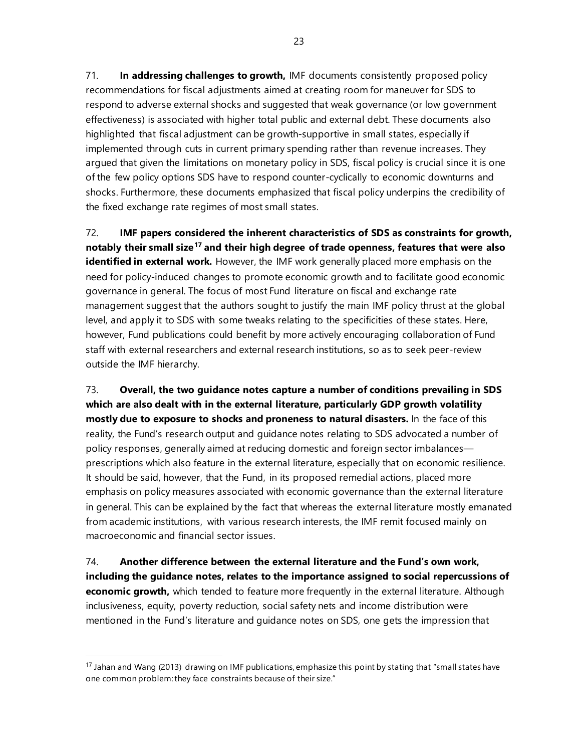71. **In addressing challenges to growth,** IMF documents consistently proposed policy recommendations for fiscal adjustments aimed at creating room for maneuver for SDS to respond to adverse external shocks and suggested that weak governance (or low government effectiveness) is associated with higher total public and external debt. These documents also highlighted that fiscal adjustment can be growth-supportive in small states, especially if implemented through cuts in current primary spending rather than revenue increases. They argued that given the limitations on monetary policy in SDS, fiscal policy is crucial since it is one of the few policy options SDS have to respond counter-cyclically to economic downturns and shocks. Furthermore, these documents emphasized that fiscal policy underpins the credibility of the fixed exchange rate regimes of most small states.

72. **IMF papers considered the inherent characteristics of SDS as constraints for growth, notably their small size[17](#page-28-0) and their high degree of trade openness, features that were also identified in external work.** However, the IMF work generally placed more emphasis on the need for policy-induced changes to promote economic growth and to facilitate good economic governance in general. The focus of most Fund literature on fiscal and exchange rate management suggest that the authors sought to justify the main IMF policy thrust at the global level, and apply it to SDS with some tweaks relating to the specificities of these states. Here, however, Fund publications could benefit by more actively encouraging collaboration of Fund staff with external researchers and external research institutions, so as to seek peer-review outside the IMF hierarchy.

73. **Overall, the two guidance notes capture a number of conditions prevailing in SDS which are also dealt with in the external literature, particularly GDP growth volatility mostly due to exposure to shocks and proneness to natural disasters.** In the face of this reality, the Fund's research output and guidance notes relating to SDS advocated a number of policy responses, generally aimed at reducing domestic and foreign sector imbalances prescriptions which also feature in the external literature, especially that on economic resilience. It should be said, however, that the Fund, in its proposed remedial actions, placed more emphasis on policy measures associated with economic governance than the external literature in general. This can be explained by the fact that whereas the external literature mostly emanated from academic institutions, with various research interests, the IMF remit focused mainly on macroeconomic and financial sector issues.

74. **Another difference between the external literature and the Fund's own work, including the guidance notes, relates to the importance assigned to social repercussions of economic growth,** which tended to feature more frequently in the external literature. Although inclusiveness, equity, poverty reduction, social safety nets and income distribution were mentioned in the Fund's literature and guidance notes on SDS, one gets the impression that

<span id="page-28-0"></span><sup>&</sup>lt;sup>17</sup> Jahan and Wang (2013) drawing on IMF publications, emphasize this point by stating that "small states have one common problem: they face constraints because of their size."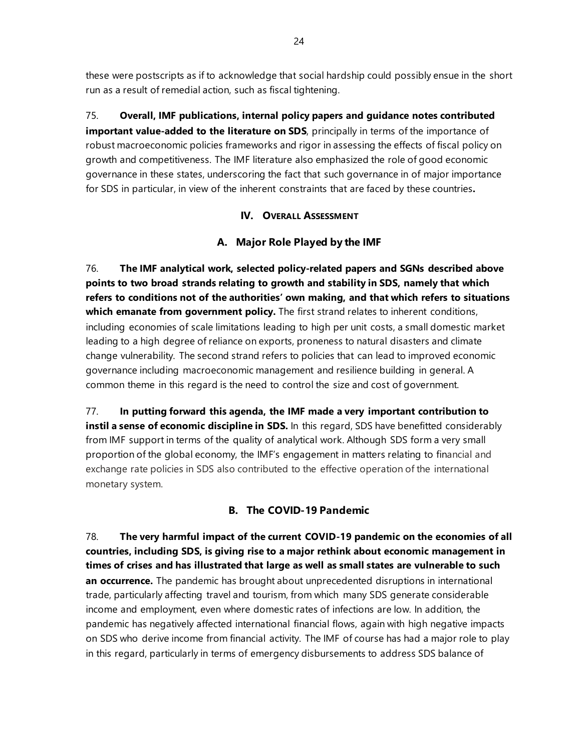these were postscripts as if to acknowledge that social hardship could possibly ensue in the short run as a result of remedial action, such as fiscal tightening.

75. **Overall, IMF publications, internal policy papers and guidance notes contributed important value-added to the literature on SDS**, principally in terms of the importance of robust macroeconomic policies frameworks and rigor in assessing the effects of fiscal policy on growth and competitiveness. The IMF literature also emphasized the role of good economic governance in these states, underscoring the fact that such governance in of major importance for SDS in particular, in view of the inherent constraints that are faced by these countries**.**

### **IV. OVERALL ASSESSMENT**

### **A. Major Role Played by the IMF**

76. **The IMF analytical work, selected policy-related papers and SGNs described above points to two broad strands relating to growth and stability in SDS, namely that which refers to conditions not of the authorities' own making, and that which refers to situations which emanate from government policy.** The first strand relates to inherent conditions, including economies of scale limitations leading to high per unit costs, a small domestic market leading to a high degree of reliance on exports, proneness to natural disasters and climate change vulnerability. The second strand refers to policies that can lead to improved economic governance including macroeconomic management and resilience building in general. A common theme in this regard is the need to control the size and cost of government.

77. **In putting forward this agenda, the IMF made a very important contribution to instil a sense of economic discipline in SDS.** In this regard, SDS have benefitted considerably from IMF support in terms of the quality of analytical work. Although SDS form a very small proportion of the global economy, the IMF's engagement in matters relating to financial and exchange rate policies in SDS also contributed to the effective operation of the international monetary system.

### **B. The COVID-19 Pandemic**

78. **The very harmful impact of the current COVID-19 pandemic on the economies of all countries, including SDS, is giving rise to a major rethink about economic management in times of crises and has illustrated that large as well as small states are vulnerable to such an occurrence.** The pandemic has brought about unprecedented disruptions in international trade, particularly affecting travel and tourism, from which many SDS generate considerable income and employment, even where domestic rates of infections are low. In addition, the pandemic has negatively affected international financial flows, again with high negative impacts on SDS who derive income from financial activity. The IMF of course has had a major role to play in this regard, particularly in terms of emergency disbursements to address SDS balance of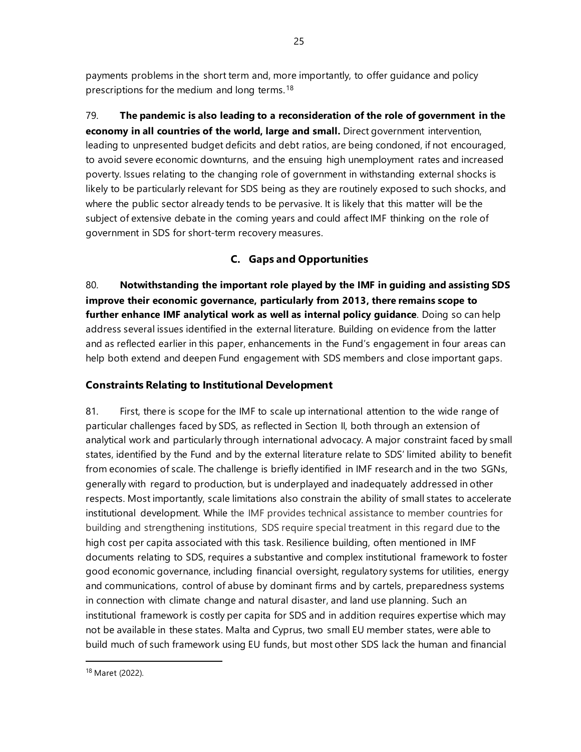payments problems in the short term and, more importantly, to offer guidance and policy prescriptions for the medium and long terms.[18](#page-30-0)

79. **The pandemic is also leading to a reconsideration of the role of government in the economy in all countries of the world, large and small.** Direct government intervention, leading to unpresented budget deficits and debt ratios, are being condoned, if not encouraged, to avoid severe economic downturns, and the ensuing high unemployment rates and increased poverty. Issues relating to the changing role of government in withstanding external shocks is likely to be particularly relevant for SDS being as they are routinely exposed to such shocks, and where the public sector already tends to be pervasive. It is likely that this matter will be the subject of extensive debate in the coming years and could affect IMF thinking on the role of government in SDS for short-term recovery measures.

## **C. Gaps and Opportunities**

80. **Notwithstanding the important role played by the IMF in guiding and assisting SDS improve their economic governance, particularly from 2013, there remains scope to further enhance IMF analytical work as well as internal policy guidance**. Doing so can help address several issues identified in the external literature. Building on evidence from the latter and as reflected earlier in this paper, enhancements in the Fund's engagement in four areas can help both extend and deepen Fund engagement with SDS members and close important gaps.

### **Constraints Relating to Institutional Development**

81. First, there is scope for the IMF to scale up international attention to the wide range of particular challenges faced by SDS, as reflected in Section II, both through an extension of analytical work and particularly through international advocacy. A major constraint faced by small states, identified by the Fund and by the external literature relate to SDS' limited ability to benefit from economies of scale. The challenge is briefly identified in IMF research and in the two SGNs, generally with regard to production, but is underplayed and inadequately addressed in other respects. Most importantly, scale limitations also constrain the ability of small states to accelerate institutional development. While the IMF provides technical assistance to member countries for building and strengthening institutions, SDS require special treatment in this regard due to the high cost per capita associated with this task. Resilience building, often mentioned in IMF documents relating to SDS, requires a substantive and complex institutional framework to foster good economic governance, including financial oversight, regulatory systems for utilities, energy and communications, control of abuse by dominant firms and by cartels, preparedness systems in connection with climate change and natural disaster, and land use planning. Such an institutional framework is costly per capita for SDS and in addition requires expertise which may not be available in these states. Malta and Cyprus, two small EU member states, were able to build much of such framework using EU funds, but most other SDS lack the human and financial

<span id="page-30-0"></span><sup>18</sup> Maret (2022).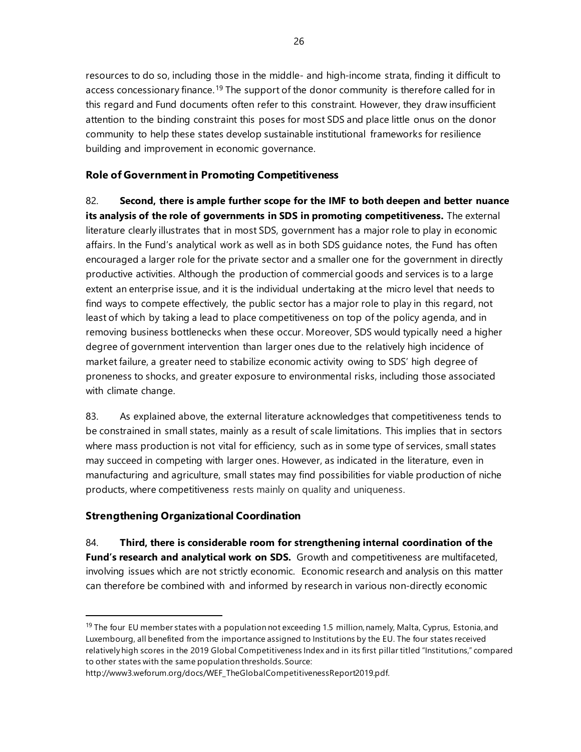resources to do so, including those in the middle- and high-income strata, finding it difficult to access concessionary finance.<sup>[19](#page-31-0)</sup> The support of the donor community is therefore called for in this regard and Fund documents often refer to this constraint. However, they draw insufficient attention to the binding constraint this poses for most SDS and place little onus on the donor community to help these states develop sustainable institutional frameworks for resilience building and improvement in economic governance.

### **Role of Government in Promoting Competitiveness**

82. **Second, there is ample further scope for the IMF to both deepen and better nuance its analysis of the role of governments in SDS in promoting competitiveness.** The external literature clearly illustrates that in most SDS, government has a major role to play in economic affairs. In the Fund's analytical work as well as in both SDS guidance notes, the Fund has often encouraged a larger role for the private sector and a smaller one for the government in directly productive activities. Although the production of commercial goods and services is to a large extent an enterprise issue, and it is the individual undertaking at the micro level that needs to find ways to compete effectively, the public sector has a major role to play in this regard, not least of which by taking a lead to place competitiveness on top of the policy agenda, and in removing business bottlenecks when these occur. Moreover, SDS would typically need a higher degree of government intervention than larger ones due to the relatively high incidence of market failure, a greater need to stabilize economic activity owing to SDS' high degree of proneness to shocks, and greater exposure to environmental risks, including those associated with climate change.

83. As explained above, the external literature acknowledges that competitiveness tends to be constrained in small states, mainly as a result of scale limitations. This implies that in sectors where mass production is not vital for efficiency, such as in some type of services, small states may succeed in competing with larger ones. However, as indicated in the literature, even in manufacturing and agriculture, small states may find possibilities for viable production of niche products, where competitiveness rests mainly on quality and uniqueness.

### **Strengthening Organizational Coordination**

84. **Third, there is considerable room for strengthening internal coordination of the Fund's research and analytical work on SDS.** Growth and competitiveness are multifaceted, involving issues which are not strictly economic. Economic research and analysis on this matter can therefore be combined with and informed by research in various non-directly economic

<span id="page-31-0"></span> $19$  The four EU member states with a population not exceeding 1.5 million, namely, Malta, Cyprus, Estonia, and Luxembourg, all benefited from the importance assigned to Institutions by the EU. The four states received relatively high scores in the 2019 Global Competitiveness Index and in its first pillar titled "Institutions," compared to other states with the same population thresholds. Source:

[http://www3.weforum.org/docs/WEF\\_TheGlobalCompetitivenessReport2019.pdf.](http://www3.weforum.org/docs/WEF_TheGlobalCompetitivenessReport2019.pdf)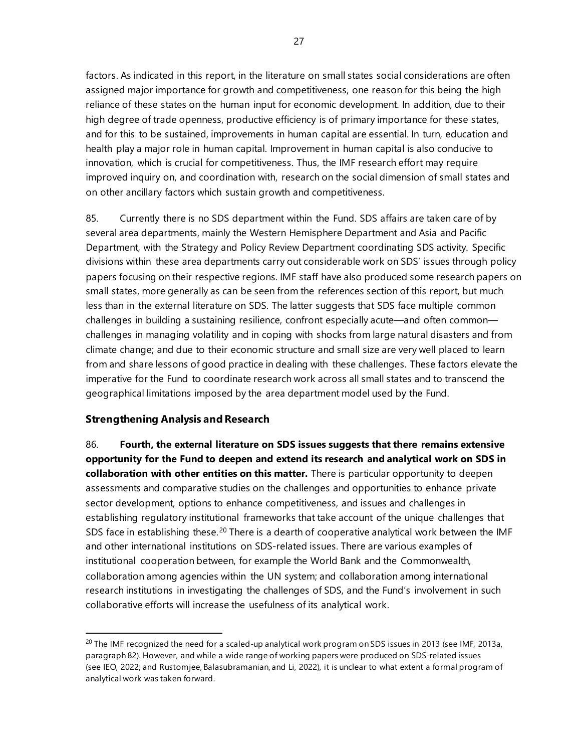factors. As indicated in this report, in the literature on small states social considerations are often assigned major importance for growth and competitiveness, one reason for this being the high reliance of these states on the human input for economic development. In addition, due to their high degree of trade openness, productive efficiency is of primary importance for these states, and for this to be sustained, improvements in human capital are essential. In turn, education and health play a major role in human capital. Improvement in human capital is also conducive to innovation, which is crucial for competitiveness. Thus, the IMF research effort may require improved inquiry on, and coordination with, research on the social dimension of small states and on other ancillary factors which sustain growth and competitiveness.

85. Currently there is no SDS department within the Fund. SDS affairs are taken care of by several area departments, mainly the Western Hemisphere Department and Asia and Pacific Department, with the Strategy and Policy Review Department coordinating SDS activity. Specific divisions within these area departments carry out considerable work on SDS' issues through policy papers focusing on their respective regions. IMF staff have also produced some research papers on small states, more generally as can be seen from the references section of this report, but much less than in the external literature on SDS. The latter suggests that SDS face multiple common challenges in building a sustaining resilience, confront especially acute—and often common challenges in managing volatility and in coping with shocks from large natural disasters and from climate change; and due to their economic structure and small size are very well placed to learn from and share lessons of good practice in dealing with these challenges. These factors elevate the imperative for the Fund to coordinate research work across all small states and to transcend the geographical limitations imposed by the area department model used by the Fund.

### **Strengthening Analysis and Research**

86. **Fourth, the external literature on SDS issues suggests that there remains extensive opportunity for the Fund to deepen and extend its research and analytical work on SDS in collaboration with other entities on this matter.** There is particular opportunity to deepen assessments and comparative studies on the challenges and opportunities to enhance private sector development, options to enhance competitiveness, and issues and challenges in establishing regulatory institutional frameworks that take account of the unique challenges that SDS face in establishing these.<sup>[20](#page-32-0)</sup> There is a dearth of cooperative analytical work between the IMF and other international institutions on SDS-related issues. There are various examples of institutional cooperation between, for example the World Bank and the Commonwealth, collaboration among agencies within the UN system; and collaboration among international research institutions in investigating the challenges of SDS, and the Fund's involvement in such collaborative efforts will increase the usefulness of its analytical work.

<span id="page-32-0"></span> $^{20}$  The IMF recognized the need for a scaled-up analytical work program on SDS issues in 2013 (see IMF, 2013a, paragraph 82). However, and while a wide range of working papers were produced on SDS-related issues (see IEO, 2022; and Rustomjee, Balasubramanian, and Li, 2022), it is unclear to what extent a formal program of analytical work was taken forward.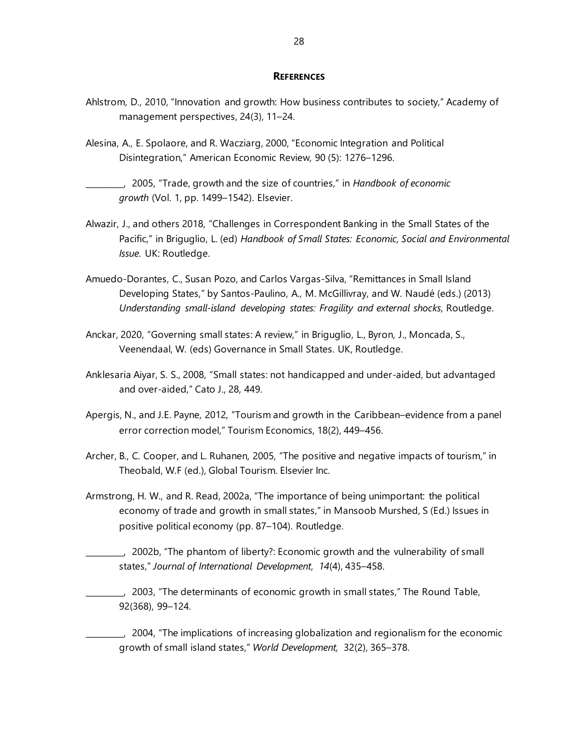#### **REFERENCES**

- Ahlstrom, D., 2010, "Innovation and growth: How business contributes to society," Academy of management perspectives, 24(3), 11–24.
- Alesina, A., E. Spolaore, and R. Wacziarg, 2000, "Economic Integration and Political Disintegration," American Economic Review, 90 (5): 1276–1296.
	- \_\_\_\_\_\_\_\_\_\_, 2005, "Trade, growth and the size of countries," in *Handbook of economic growth* (Vol. 1, pp. 1499–1542). Elsevier.
- Alwazir, J., and others 2018, "Challenges in Correspondent Banking in the Small States of the Pacific," in Briguglio, L. (ed) *Handbook of Small States: Economic, Social and Environmental Issue*. UK: Routledge.
- Amuedo-Dorantes, C., Susan Pozo, and Carlos Vargas-Silva, "Remittances in Small Island Developing States," by Santos-Paulino, A., M. McGillivray, and W. Naudé (eds.) (2013) *Understanding small-island developing states: Fragility and external shocks*, Routledge.
- Anckar, 2020, "Governing small states: A review," in Briguglio, L., Byron, J., Moncada, S., Veenendaal, W. (eds) Governance in Small States. UK, Routledge.
- Anklesaria Aiyar, S. S., 2008, "Small states: not handicapped and under-aided, but advantaged and over-aided," Cato J., 28, 449.
- Apergis, N., and J.E. Payne, 2012, "Tourism and growth in the Caribbean–evidence from a panel error correction model," Tourism Economics, 18(2), 449–456.
- Archer, B., C. Cooper, and L. Ruhanen, 2005, "The positive and negative impacts of tourism," in Theobald, W.F (ed.), Global Tourism. Elsevier Inc.
- Armstrong, H. W., and R. Read, 2002a, "The importance of being unimportant: the political economy of trade and growth in small states," in Mansoob Murshed, S (Ed.) Issues in positive political economy (pp. 87–104). Routledge.
	- \_\_\_\_\_\_\_\_\_\_, 2002b, "The phantom of liberty?: Economic growth and the vulnerability of small states," *Journal of International Development*, *14*(4), 435–458.
	- \_\_\_\_\_\_\_\_\_\_, 2003, "The determinants of economic growth in small states," The Round Table, 92(368), 99–124.
		- \_\_\_\_\_\_\_\_\_\_, 2004, "The implications of increasing globalization and regionalism for the economic growth of small island states," *World Development,* 32(2), 365–378.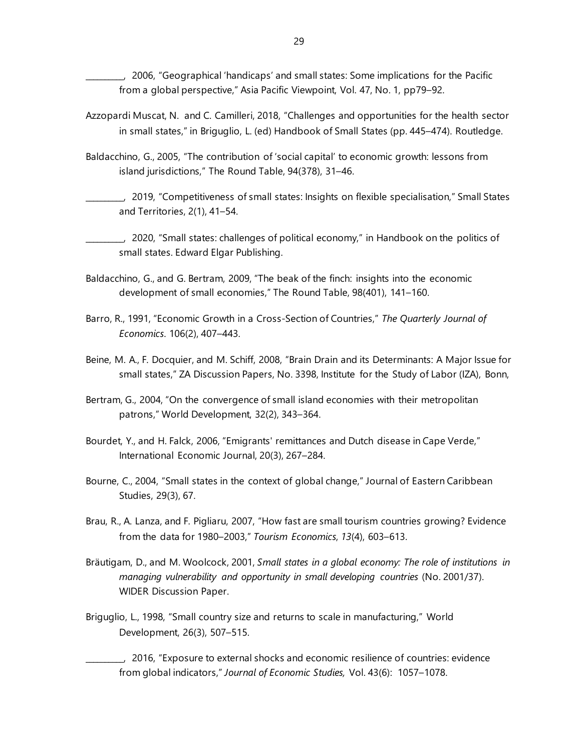\_\_\_\_\_\_\_\_\_\_, 2006, "Geographical 'handicaps' and small states: Some implications for the Pacific from a global perspective," Asia Pacific Viewpoint, Vol. 47, No. 1, pp79–92.

- Azzopardi Muscat, N. and C. Camilleri, 2018, "Challenges and opportunities for the health sector in small states," in Briguglio, L. (ed) Handbook of Small States (pp. 445–474). Routledge.
- Baldacchino, G., 2005, "The contribution of 'social capital' to economic growth: lessons from island jurisdictions," The Round Table, 94(378), 31–46.
- \_\_\_\_\_\_\_\_\_\_, 2019, "Competitiveness of small states: Insights on flexible specialisation," Small States and Territories, 2(1), 41–54.
- \_\_\_\_\_\_\_\_\_\_, 2020, "Small states: challenges of political economy," in Handbook on the politics of small states. Edward Elgar Publishing.
- Baldacchino, G., and G. Bertram, 2009, "The beak of the finch: insights into the economic development of small economies," The Round Table, 98(401), 141–160.
- Barro, R., 1991, "Economic Growth in a Cross-Section of Countries," *The Quarterly Journal of Economics*. 106(2), 407–443.
- Beine, M. A., F. Docquier, and M. Schiff, 2008, "Brain Drain and its Determinants: A Major Issue for small states," ZA Discussion Papers, No. 3398, Institute for the Study of Labor (IZA), Bonn,
- Bertram, G., 2004, "On the convergence of small island economies with their metropolitan patrons," World Development, 32(2), 343–364.
- Bourdet, Y., and H. Falck, 2006, "Emigrants' remittances and Dutch disease in Cape Verde," International Economic Journal, 20(3), 267–284.
- Bourne, C., 2004, "Small states in the context of global change," Journal of Eastern Caribbean Studies, 29(3), 67.
- Brau, R., A. Lanza, and F. Pigliaru, 2007, "How fast are small tourism countries growing? Evidence from the data for 1980–2003," *Tourism Economics*, *13*(4), 603–613.
- Bräutigam, D., and M. Woolcock, 2001, *Small states in a global economy: The role of institutions in managing vulnerability and opportunity in small developing countries* (No. 2001/37). WIDER Discussion Paper.
- Briguglio, L., 1998, "Small country size and returns to scale in manufacturing," World Development, 26(3), 507–515.
	- \_\_\_\_\_\_\_\_\_\_, 2016, "Exposure to external shocks and economic resilience of countries: evidence from global indicators," *Journal of Economic Studies,* Vol. 43(6): 1057–1078.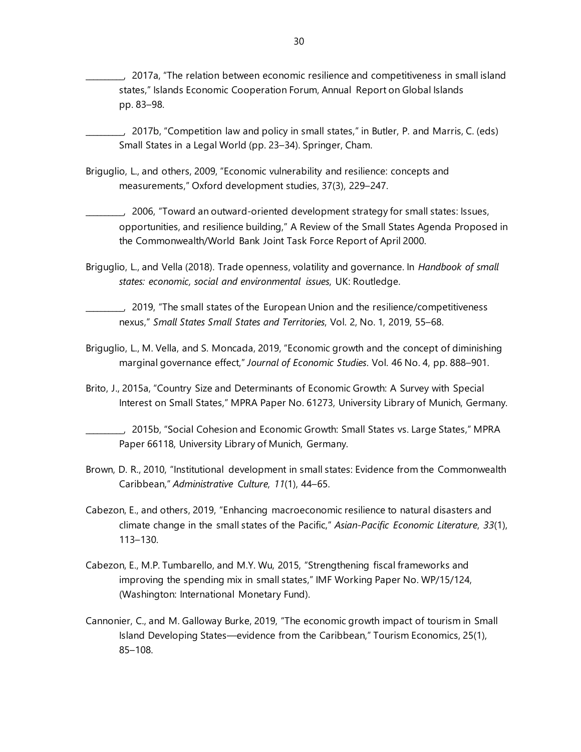\_\_\_\_\_\_\_\_\_\_, 2017a, "The relation between economic resilience and competitiveness in small island states," Islands Economic Cooperation Forum, Annual Report on Global Islands pp. 83–98.

\_\_\_\_\_\_\_\_\_\_, 2017b, "Competition law and policy in small states," in Butler, P. and Marris, C. (eds) Small States in a Legal World (pp. 23–34). Springer, Cham.

Briguglio, L., and others, 2009, "Economic vulnerability and resilience: concepts and measurements," Oxford development studies, 37(3), 229–247.

\_\_\_\_\_\_\_\_\_\_, 2006, "Toward an outward-oriented development strategy for small states: Issues, opportunities, and resilience building," A Review of the Small States Agenda Proposed in the Commonwealth/World Bank Joint Task Force Report of April 2000.

Briguglio, L., and Vella (2018). Trade openness, volatility and governance. In *Handbook of small states: economic, social and environmental issues*, UK: Routledge.

\_\_\_\_\_\_\_\_\_\_, 2019, "The small states of the European Union and the resilience/competitiveness nexus," *Small States Small States and Territories*, Vol. 2, No. 1, 2019, 55–68.

- Briguglio, L., M. Vella, and S. Moncada, 2019, "Economic growth and the concept of diminishing marginal governance effect," *Journal of Economic Studies*. Vol. 46 No. 4, pp. 888–901.
- Brito, J., 2015a, "Country Size and Determinants of Economic Growth: A Survey with Special Interest on Small States," MPRA Paper No. 61273, University Library of Munich, Germany.

- Brown, D. R., 2010, "Institutional development in small states: Evidence from the Commonwealth Caribbean," *Administrative Culture*, *11*(1), 44–65.
- Cabezon, E., and others, 2019, "Enhancing macroeconomic resilience to natural disasters and climate change in the small states of the Pacific," *Asian-Pacific Economic Literature*, *33*(1), 113–130.
- Cabezon, E., M.P. Tumbarello, and M.Y. Wu, 2015, "Strengthening fiscal frameworks and improving the spending mix in small states," IMF Working Paper No. WP/15/124, (Washington: International Monetary Fund).
- Cannonier, C., and M. Galloway Burke, 2019, "The economic growth impact of tourism in Small Island Developing States—evidence from the Caribbean," Tourism Economics, 25(1), 85–108.

\_\_\_\_\_\_\_\_\_\_, 2015b, "Social Cohesion and Economic Growth: Small States vs. Large States," MPRA Paper 66118, University Library of Munich, Germany.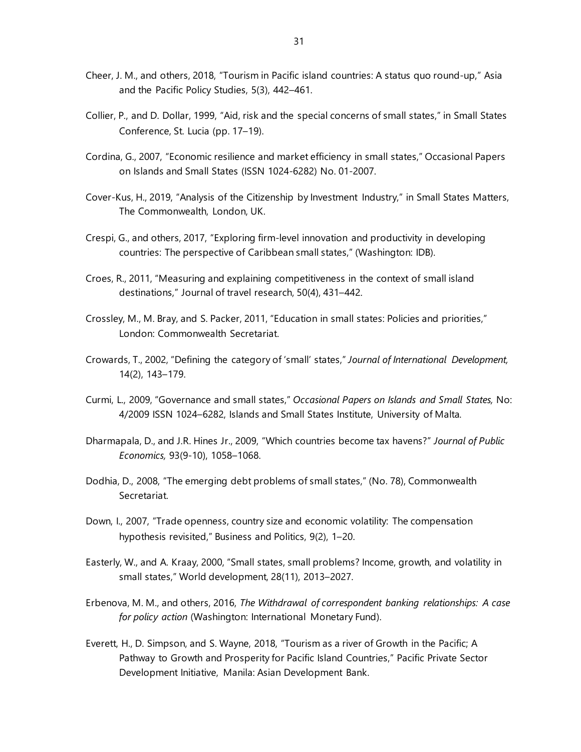- Cheer, J. M., and others, 2018, "Tourism in Pacific island countries: A status quo round-up," Asia and the Pacific Policy Studies, 5(3), 442–461.
- Collier, P., and D. Dollar, 1999, "Aid, risk and the special concerns of small states," in Small States Conference, St. Lucia (pp. 17–19).
- Cordina, G., 2007, "Economic resilience and market efficiency in small states," Occasional Papers on Islands and Small States (ISSN 1024-6282) No. 01-2007.
- Cover-Kus, H., 2019, "Analysis of the Citizenship by Investment Industry," in Small States Matters, The Commonwealth, London, UK.
- Crespi, G., and others, 2017, "Exploring firm-level innovation and productivity in developing countries: The perspective of Caribbean small states," (Washington: IDB).
- Croes, R., 2011, "Measuring and explaining competitiveness in the context of small island destinations," Journal of travel research, 50(4), 431–442.
- Crossley, M., M. Bray, and S. Packer, 2011, "Education in small states: Policies and priorities," London: Commonwealth Secretariat.
- Crowards, T., 2002, "Defining the category of 'small' states," *Journal of International Development,* 14(2), 143–179.
- Curmi, L., 2009, "Governance and small states," *Occasional Papers on Islands and Small States,* No: 4/2009 ISSN 1024–6282, Islands and Small States Institute, University of Malta*.*
- Dharmapala, D., and J.R. Hines Jr., 2009, "Which countries become tax havens?" *Journal of Public Economics,* 93(9-10), 1058–1068.
- Dodhia, D., 2008, "The emerging debt problems of small states," (No. 78), Commonwealth Secretariat.
- Down, I., 2007, "Trade openness, country size and economic volatility: The compensation hypothesis revisited," Business and Politics, 9(2), 1–20.
- Easterly, W., and A. Kraay, 2000, "Small states, small problems? Income, growth, and volatility in small states," World development, 28(11), 2013–2027.
- Erbenova, M. M., and others, 2016, *The Withdrawal of correspondent banking relationships: A case for policy action* (Washington: International Monetary Fund).
- Everett, H., D. Simpson, and S. Wayne, 2018, "Tourism as a river of Growth in the Pacific; A Pathway to Growth and Prosperity for Pacific Island Countries," Pacific Private Sector Development Initiative, Manila: Asian Development Bank.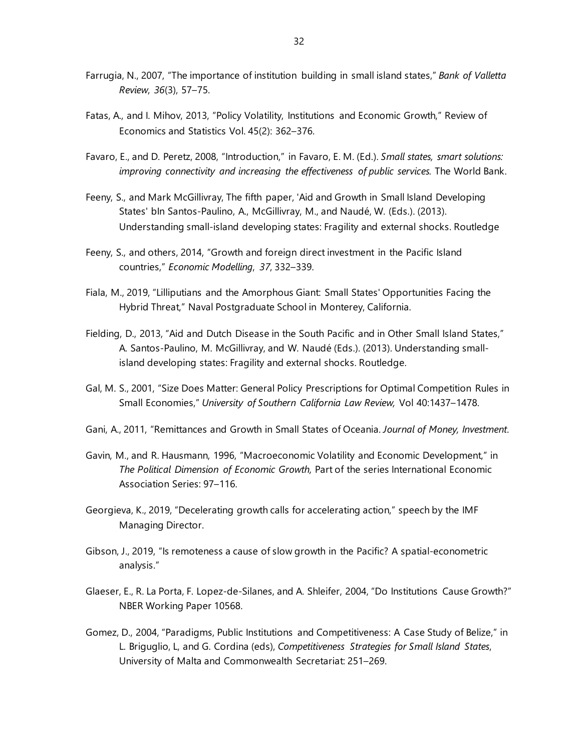- Farrugia, N., 2007, "The importance of institution building in small island states," *Bank of Valletta Review*, *36*(3), 57–75.
- Fatas, A., and I. Mihov, 2013, "Policy Volatility, Institutions and Economic Growth," Review of Economics and Statistics Vol. 45(2): 362–376.
- Favaro, E., and D. Peretz, 2008, "Introduction," in Favaro, E. M. (Ed.). *Small states, smart solutions: improving connectivity and increasing the effectiveness of public services.* The World Bank.
- Feeny, S., and Mark McGillivray, The fifth paper, 'Aid and Growth in Small Island Developing States' bIn Santos-Paulino, A., McGillivray, M., and Naudé, W. (Eds.). (2013). Understanding small-island developing states: Fragility and external shocks. Routledge
- Feeny, S., and others, 2014, "Growth and foreign direct investment in the Pacific Island countries," *Economic Modelling*, *37*, 332–339.
- Fiala, M., 2019, "Lilliputians and the Amorphous Giant: Small States' Opportunities Facing the Hybrid Threat," Naval Postgraduate School in Monterey, California.
- Fielding, D., 2013, "Aid and Dutch Disease in the South Pacific and in Other Small Island States," A. Santos-Paulino, M. McGillivray, and W. Naudé (Eds.). (2013). Understanding smallisland developing states: Fragility and external shocks. Routledge.
- Gal, M. S., 2001, "Size Does Matter: General Policy Prescriptions for Optimal Competition Rules in Small Economies," *University of Southern California Law Review,* Vol 40:1437–1478.
- Gani, A., 2011, "Remittances and Growth in Small States of Oceania. *Journal of Money, Investment*.
- Gavin, M., and R. Hausmann, 1996, "Macroeconomic Volatility and Economic Development," in *The Political Dimension of Economic Growth,* Part of the series International Economic Association Series: 97–116.
- Georgieva, K., 2019, "Decelerating growth calls for accelerating action," speech by the IMF Managing Director.
- Gibson, J., 2019, "Is remoteness a cause of slow growth in the Pacific? A spatial-econometric analysis."
- Glaeser, E., R. La Porta, F. Lopez-de-Silanes, and A. Shleifer, 2004, "Do Institutions Cause Growth?" NBER Working Paper 10568.
- Gomez, D., 2004, "Paradigms, Public Institutions and Competitiveness: A Case Study of Belize," in L. Briguglio, L, and G. Cordina (eds), *Competitiveness Strategies for Small Island States*, University of Malta and Commonwealth Secretariat: 251–269.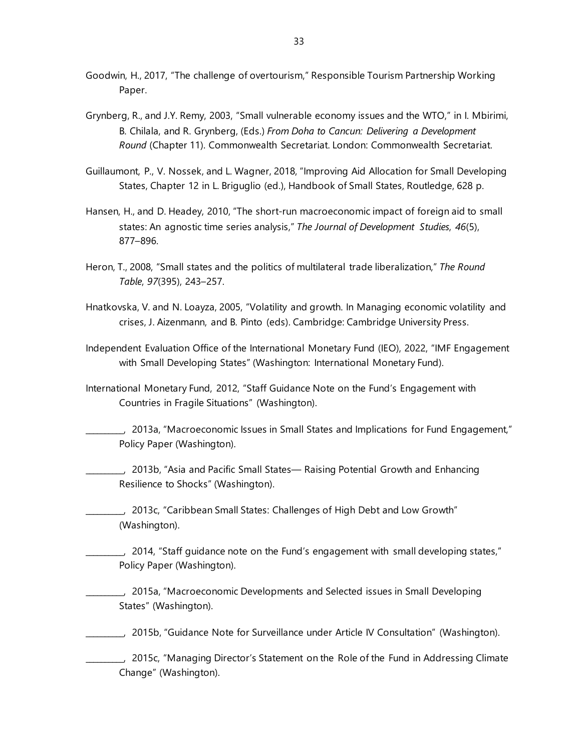- Goodwin, H., 2017, "The challenge of overtourism," Responsible Tourism Partnership Working Paper.
- Grynberg, R., and J.Y. Remy, 2003, "Small vulnerable economy issues and the WTO," in I. Mbirimi, B. Chilala, and R. Grynberg, (Eds.) *From Doha to Cancun: Delivering a Development Round* (Chapter 11). Commonwealth Secretariat. London: Commonwealth Secretariat.
- Guillaumont, P., V. Nossek, and L. Wagner, 2018, "Improving Aid Allocation for Small Developing States, Chapter 12 in L. Briguglio (ed.), Handbook of Small States, Routledge, 628 p.
- Hansen, H., and D. Headey, 2010, "The short-run macroeconomic impact of foreign aid to small states: An agnostic time series analysis," *The Journal of Development Studies*, *46*(5), 877–896.
- Heron, T., 2008, "Small states and the politics of multilateral trade liberalization," *The Round Table*, *97*(395), 243–257.
- Hnatkovska, V. and N. Loayza, 2005, "Volatility and growth. In Managing economic volatility and crises, J. Aizenmann, and B. Pinto (eds). Cambridge: Cambridge University Press.
- Independent Evaluation Office of the International Monetary Fund (IEO), 2022, "IMF Engagement with Small Developing States" (Washington: International Monetary Fund).
- International Monetary Fund, 2012, "Staff Guidance Note on the Fund's Engagement with Countries in Fragile Situations" (Washington).
- \_\_\_\_\_\_\_\_\_\_, 2013a, "Macroeconomic Issues in Small States and Implications for Fund Engagement," Policy Paper (Washington).
- \_\_\_\_\_\_\_\_\_\_, 2013b, "Asia and Pacific Small States— Raising Potential Growth and Enhancing Resilience to Shocks" (Washington).
- \_\_\_\_\_\_\_\_\_\_, 2013c, "Caribbean Small States: Challenges of High Debt and Low Growth" (Washington).
- \_\_\_\_\_\_\_\_\_\_, 2014, "Staff guidance note on the Fund's engagement with small developing states," Policy Paper (Washington).
	- \_\_\_\_\_\_\_\_\_\_, 2015a, "Macroeconomic Developments and Selected issues in Small Developing States" (Washington).
- \_\_\_\_\_\_\_\_\_\_, 2015b, "Guidance Note for Surveillance under Article IV Consultation" (Washington).
	- \_\_\_\_\_\_\_\_\_\_, 2015c, "Managing Director's Statement on the Role of the Fund in Addressing Climate Change" (Washington).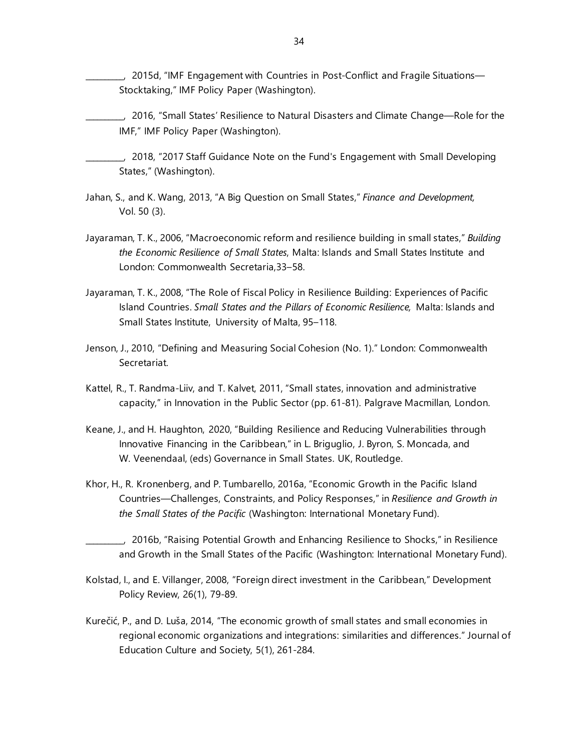- \_\_\_\_\_\_\_\_\_\_, 2015d, "IMF Engagement with Countries in Post-Conflict and Fragile Situations— Stocktaking," IMF Policy Paper (Washington).
- \_\_\_\_\_\_\_\_\_\_, 2016, "Small States' Resilience to Natural Disasters and Climate Change—Role for the IMF," IMF Policy Paper (Washington).
- \_\_\_\_\_\_\_\_\_\_, 2018, "2017 Staff Guidance Note on the Fund's Engagement with Small Developing States," (Washington).
- Jahan, S., and K. Wang, 2013, "A Big Question on Small States," *Finance and Development,* Vol. 50 (3).
- Jayaraman, T. K., 2006, "Macroeconomic reform and resilience building in small states," *Building the Economic Resilience of Small States*, Malta: Islands and Small States Institute and London: Commonwealth Secretaria,33–58.
- Jayaraman, T. K., 2008, "The Role of Fiscal Policy in Resilience Building: Experiences of Pacific Island Countries. *Small States and the Pillars of Economic Resilience,* Malta: Islands and Small States Institute, University of Malta, 95–118.
- Jenson, J., 2010, "Defining and Measuring Social Cohesion (No. 1)." London: Commonwealth Secretariat.
- Kattel, R., T. Randma-Liiv, and T. Kalvet, 2011, "Small states, innovation and administrative capacity," in Innovation in the Public Sector (pp. 61-81). Palgrave Macmillan, London.
- Keane, J., and H. Haughton, 2020, "Building Resilience and Reducing Vulnerabilities through Innovative Financing in the Caribbean," in L. Briguglio, J. Byron, S. Moncada, and W. Veenendaal, (eds) Governance in Small States. UK, Routledge.
- Khor, H., R. Kronenberg, and P. Tumbarello, 2016a, "Economic Growth in the Pacific Island Countries—Challenges, Constraints, and Policy Responses," in *Resilience and Growth in the Small States of the Pacific* (Washington: International Monetary Fund).
	- \_\_\_\_\_\_\_\_\_\_, 2016b, "Raising Potential Growth and Enhancing Resilience to Shocks," in Resilience and Growth in the Small States of the Pacific (Washington: International Monetary Fund).
- Kolstad, I., and E. Villanger, 2008, "Foreign direct investment in the Caribbean," Development Policy Review, 26(1), 79-89.
- Kurečić, P., and D. Luša, 2014, "The economic growth of small states and small economies in regional economic organizations and integrations: similarities and differences." Journal of Education Culture and Society, 5(1), 261-284.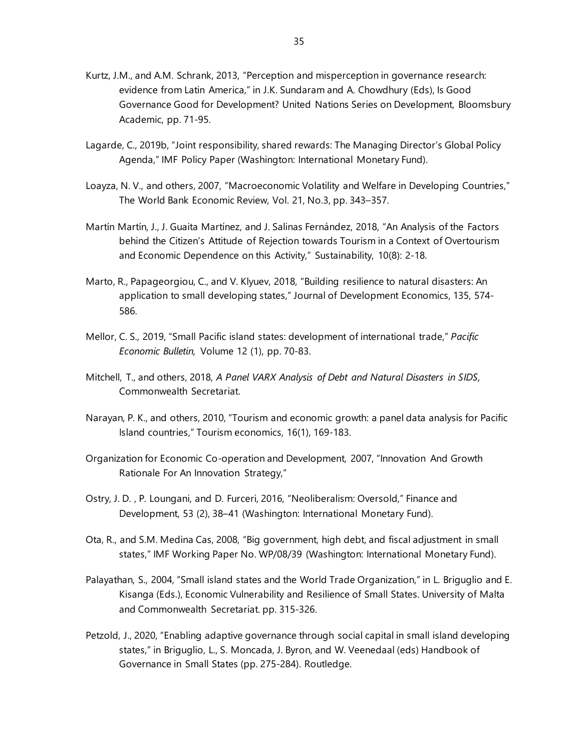- Kurtz, J.M., and A.M. Schrank, 2013, "Perception and misperception in governance research: evidence from Latin America," in J.K. Sundaram and A. Chowdhury (Eds), Is Good Governance Good for Development? United Nations Series on Development, Bloomsbury Academic, pp. 71-95.
- Lagarde, C., 2019b, "Joint responsibility, shared rewards: The Managing Director's Global Policy Agenda," IMF Policy Paper (Washington: International Monetary Fund).
- Loayza, N. V., and others, 2007, "Macroeconomic Volatility and Welfare in Developing Countries," The World Bank Economic Review, Vol. 21, No.3, pp. 343–357.
- Martín Martín, J., J. Guaita Martínez, and J. Salinas Fernández, 2018, "An Analysis of the Factors behind the Citizen's Attitude of Rejection towards Tourism in a Context of Overtourism and Economic Dependence on this Activity," Sustainability, 10(8): 2-18.
- Marto, R., Papageorgiou, C., and V. Klyuev, 2018, "Building resilience to natural disasters: An application to small developing states," Journal of Development Economics, 135, 574- 586.
- Mellor, C. S., 2019, "Small Pacific island states: development of international trade," *Pacific Economic Bulletin,* Volume 12 (1), pp. 70-83.
- Mitchell, T., and others, 2018, *A Panel VARX Analysis of Debt and Natural Disasters in SIDS,* Commonwealth Secretariat.
- Narayan, P. K., and others, 2010, "Tourism and economic growth: a panel data analysis for Pacific Island countries," Tourism economics, 16(1), 169-183.
- Organization for Economic Co-operation and Development, 2007, "Innovation And Growth Rationale For An Innovation Strategy,"
- Ostry, J. D. , P. Loungani, and D. Furceri, 2016, "Neoliberalism: Oversold," Finance and Development, 53 (2), 38–41 (Washington: International Monetary Fund).
- Ota, R., and S.M. Medina Cas, 2008, "Big government, high debt, and fiscal adjustment in small states," IMF Working Paper No. WP/08/39 (Washington: International Monetary Fund).
- Palayathan, S., 2004, "Small island states and the World Trade Organization," in L. Briguglio and E. Kisanga (Eds.), Economic Vulnerability and Resilience of Small States. University of Malta and Commonwealth Secretariat. pp. 315-326.
- Petzold, J., 2020, "Enabling adaptive governance through social capital in small island developing states," in Briguglio, L., S. Moncada, J. Byron, and W. Veenedaal (eds) Handbook of Governance in Small States (pp. 275-284). Routledge.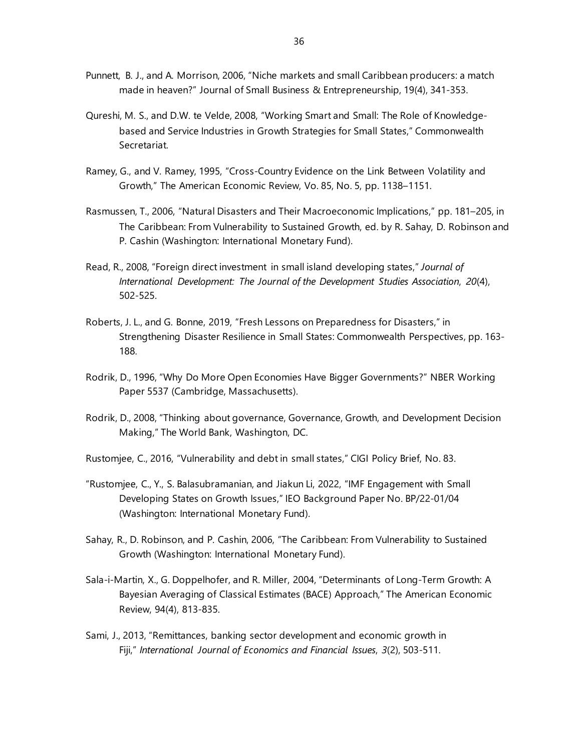- Punnett, B. J., and A. Morrison, 2006, "Niche markets and small Caribbean producers: a match made in heaven?" Journal of Small Business & Entrepreneurship, 19(4), 341-353.
- Qureshi, M. S., and D.W. te Velde, 2008, "Working Smart and Small: The Role of Knowledgebased and Service Industries in Growth Strategies for Small States," Commonwealth Secretariat.
- Ramey, G., and V. Ramey, 1995, "Cross-Country Evidence on the Link Between Volatility and Growth," The American Economic Review, Vo. 85, No. 5, pp. 1138–1151.
- Rasmussen, T., 2006, "Natural Disasters and Their Macroeconomic Implications," pp. 181–205, in The Caribbean: From Vulnerability to Sustained Growth, ed. by R. Sahay, D. Robinson and P. Cashin (Washington: International Monetary Fund).
- Read, R., 2008, "Foreign direct investment in small island developing states," *Journal of International Development: The Journal of the Development Studies Association*, *20*(4), 502-525.
- Roberts, J. L., and G. Bonne, 2019, "Fresh Lessons on Preparedness for Disasters," in Strengthening Disaster Resilience in Small States: Commonwealth Perspectives, pp. 163- 188.
- Rodrik, D., 1996, "Why Do More Open Economies Have Bigger Governments?" NBER Working Paper 5537 (Cambridge, Massachusetts).
- Rodrik, D., 2008, "Thinking about governance, Governance, Growth, and Development Decision Making," The World Bank, Washington, DC.
- Rustomjee, C., 2016, "Vulnerability and debt in small states," CIGI Policy Brief, No. 83.
- "Rustomjee, C., Y., S. Balasubramanian, and Jiakun Li, 2022, "IMF Engagement with Small Developing States on Growth Issues," IEO Background Paper No. BP/22-01/04 (Washington: International Monetary Fund).
- Sahay, R., D. Robinson, and P. Cashin, 2006, "The Caribbean: From Vulnerability to Sustained Growth (Washington: International Monetary Fund).
- Sala-i-Martin, X., G. Doppelhofer, and R. Miller, 2004, "Determinants of Long-Term Growth: A Bayesian Averaging of Classical Estimates (BACE) Approach," The American Economic Review, 94(4), 813-835.
- Sami, J., 2013, "Remittances, banking sector development and economic growth in Fiji," *International Journal of Economics and Financial Issues*, *3*(2), 503-511.